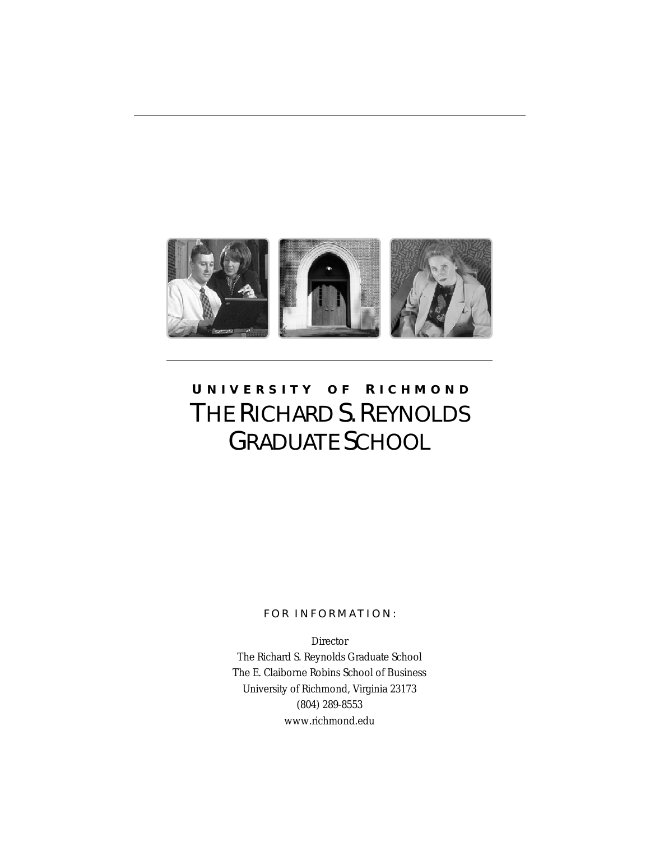

# **U NIVERSITY O F R ICHMOND** THE RICHARD S. REYNOLDS GRADUATE SCHOOL

### FOR INFORMATION:

Director The Richard S. Reynolds Graduate School The E. Claiborne Robins School of Business University of Richmond, Virginia 23173 (804) 289-8553 www.richmond.edu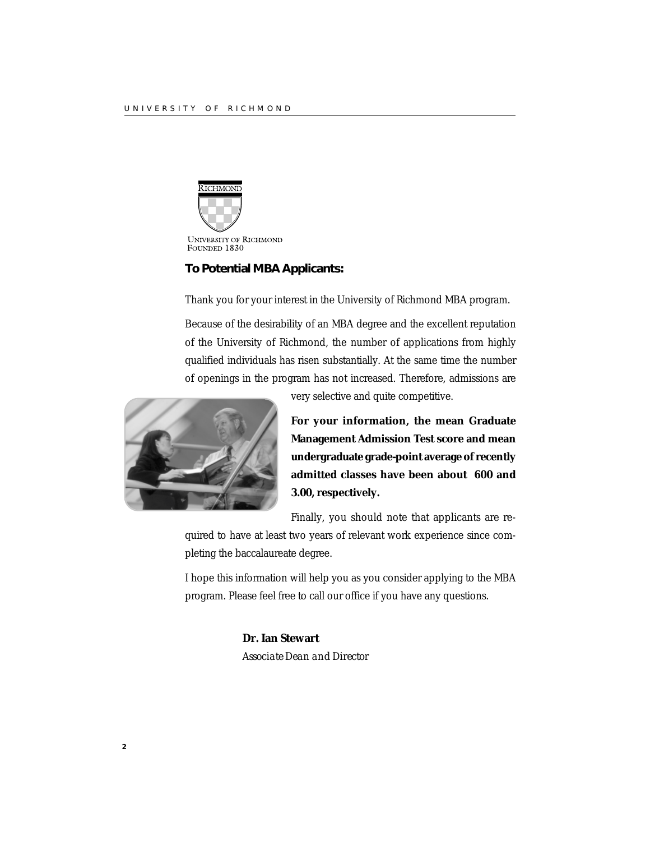

### **To Potential MBA Applicants:**

Thank you for your interest in the University of Richmond MBA program.

Because of the desirability of an MBA degree and the excellent reputation of the University of Richmond, the number of applications from highly qualified individuals has risen substantially. At the same time the number of openings in the program has not increased. Therefore, admissions are



very selective and quite competitive.

**For your information, the mean Graduate Management Admission Test score and mean undergraduate grade-point average of recently admitted classes have been about 600 and 3.00, respectively.**

Finally, you should note that applicants are re-

quired to have at least two years of relevant work experience since completing the baccalaureate degree.

I hope this information will help you as you consider applying to the MBA program. Please feel free to call our office if you have any questions.

### **Dr. Ian Stewart**

*Associate Dean and Director*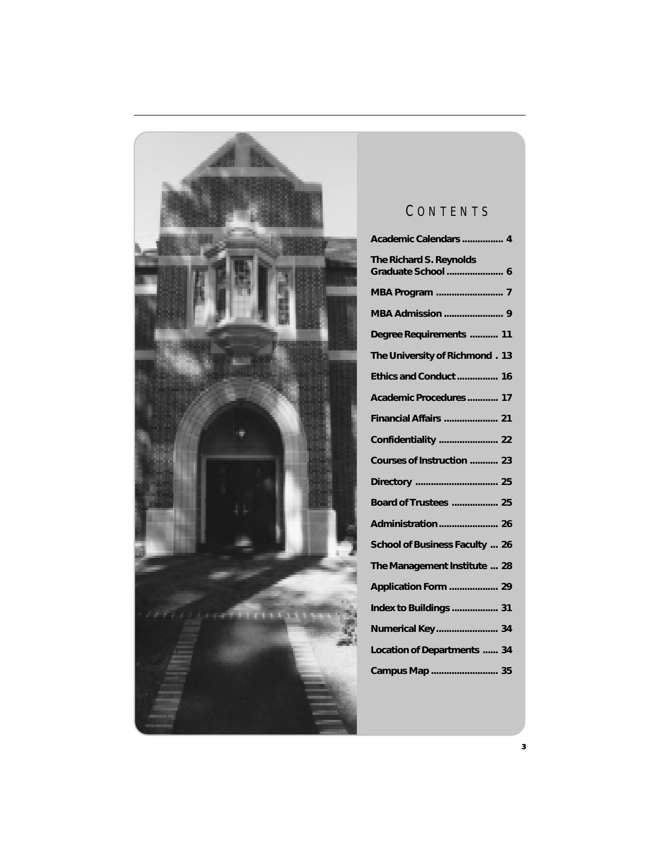

## C ONTENTS

| Academic Calendars  4                         |
|-----------------------------------------------|
| The Richard S. Reynolds<br>Graduate School  6 |
| MBA Program  7                                |
| <b>MBA Admission  9</b>                       |
| Degree Requirements  11                       |
| The University of Richmond. 13                |
| Ethics and Conduct  16                        |
| Academic Procedures  17                       |
| Financial Affairs  21                         |
| Confidentiality  22                           |
| Courses of Instruction  23                    |
|                                               |
| <b>Board of Trustees  25</b>                  |
|                                               |
| School of Business Faculty  26                |
| The Management Institute  28                  |
| Application Form  29                          |
| Index to Buildings  31                        |
| Numerical Key 34                              |
| <b>Location of Departments  34</b>            |
| Campus Map  35                                |
|                                               |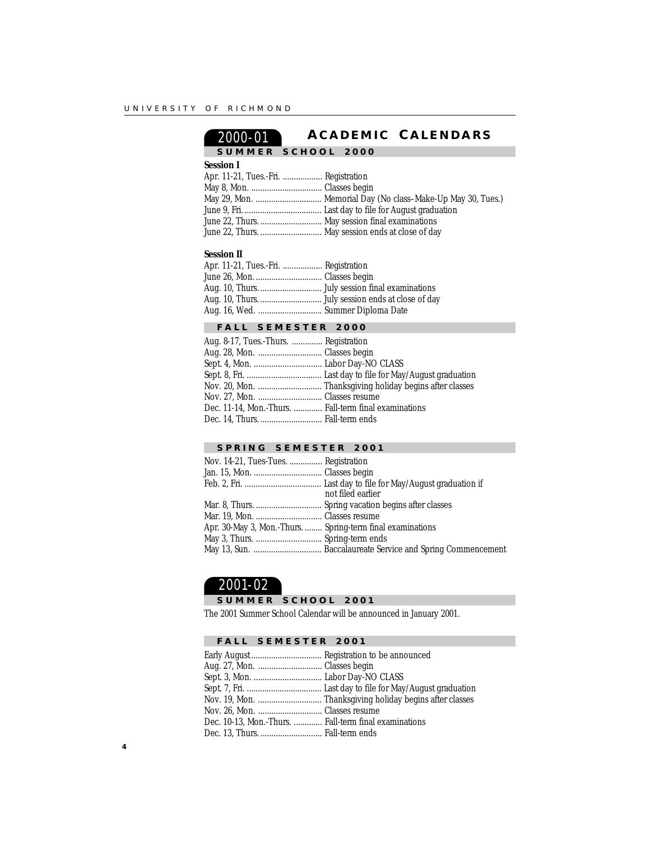## 2000-01 **A CADEMIC C ALENDARS**

## **SUMMER SCHOOL 2000**

**Session I**

### Apr. 11-21, Tues.-Fri. .................. Registration

|                                                 | May 29, Mon.  Memorial Day (No class-Make-Up May 30, Tues.) |
|-------------------------------------------------|-------------------------------------------------------------|
|                                                 |                                                             |
| June 22, Thurs.  May session final examinations |                                                             |
|                                                 | June 22, Thurs.  May session ends at close of day           |

### **Session II**

| Apr. 11-21, Tues.-Fri.  Registration |  |
|--------------------------------------|--|
| June 26, Mon.  Classes begin         |  |
|                                      |  |
|                                      |  |
| Aug. 16, Wed.  Summer Diploma Date   |  |

### **FALL SEMESTER 2000**

| Aug. 8-17, Tues.-Thurs.  Registration                 |                                                          |
|-------------------------------------------------------|----------------------------------------------------------|
| Aug. 28, Mon.  Classes begin                          |                                                          |
|                                                       |                                                          |
|                                                       |                                                          |
|                                                       | Nov. 20, Mon.  Thanksgiving holiday begins after classes |
| Nov. 27, Mon.  Classes resume                         |                                                          |
| Dec. 11-14, Mon.-Thurs.  Fall-term final examinations |                                                          |
| Dec. 14, Thurs.  Fall-term ends                       |                                                          |
|                                                       |                                                          |

### **SPRING SEMESTER 2001**

| Nov. 14-21, Tues-Tues.  Registration                       |                   |
|------------------------------------------------------------|-------------------|
|                                                            |                   |
|                                                            |                   |
|                                                            | not filed earlier |
|                                                            |                   |
|                                                            |                   |
| Apr. 30-May 3, Mon.-Thurs.  Spring-term final examinations |                   |
|                                                            |                   |
|                                                            |                   |
|                                                            |                   |

### 2001-02

### **SUMMER SCHOOL 2001**

The 2001 Summer School Calendar will be announced in January 2001.

### **FALL SEMESTER 2001**

| Aug. 27, Mon.  Classes begin                          |  |
|-------------------------------------------------------|--|
|                                                       |  |
|                                                       |  |
|                                                       |  |
| Nov. 26, Mon.  Classes resume                         |  |
| Dec. 10-13, Mon.-Thurs.  Fall-term final examinations |  |
| Dec. 13, Thurs.  Fall-term ends                       |  |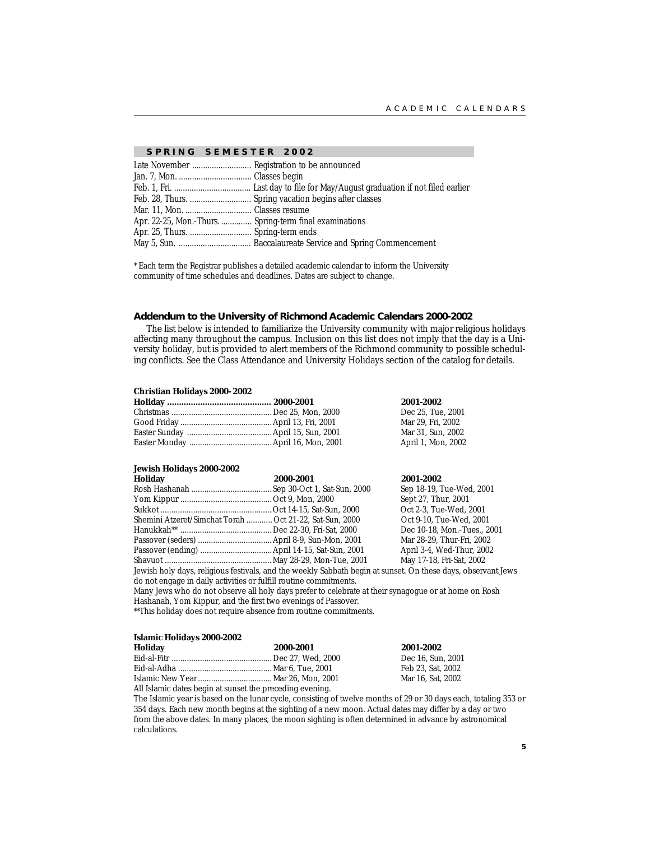#### **SPRING SEMESTER 2002**

| Apr. 22-25, Mon.-Thurs.  Spring-term final examinations |  |
|---------------------------------------------------------|--|
|                                                         |  |
|                                                         |  |

\* Each term the Registrar publishes a detailed academic calendar to inform the University community of time schedules and deadlines. Dates are subject to change.

#### **Addendum to the University of Richmond Academic Calendars 2000-2002**

The list below is intended to familiarize the University community with major religious holidays affecting many throughout the campus. Inclusion on this list does not imply that the day is a University holiday, but is provided to alert members of the Richmond community to possible scheduling conflicts. See the Class Attendance and University Holidays section of the catalog for details.

#### **Christian Holidays 2000- 2002**

|  | 2001-2002          |
|--|--------------------|
|  | Dec 25, Tue, 2001  |
|  | Mar 29. Fri. 2002  |
|  | Mar 31, Sun, 2002  |
|  | April 1, Mon, 2002 |
|  |                    |

#### **Jewish Holidays 2000-2002**

| 2000-2001                                                                                                    | 2001-2002                   |
|--------------------------------------------------------------------------------------------------------------|-----------------------------|
|                                                                                                              | Sep 18-19, Tue-Wed, 2001    |
|                                                                                                              | Sept 27, Thur, 2001         |
|                                                                                                              | Oct 2-3, Tue-Wed, 2001      |
| Shemini Atzeret/Simchat Torah  Oct 21-22, Sat-Sun, 2000                                                      | Oct 9-10, Tue-Wed, 2001     |
|                                                                                                              | Dec 10-18, Mon.-Tues., 2001 |
|                                                                                                              | Mar 28-29, Thur-Fri, 2002   |
|                                                                                                              | April 3-4, Wed-Thur, 2002   |
|                                                                                                              | May 17-18, Fri-Sat, 2002    |
| Jewish holy days, religious festivals, and the weekly Sabbath begin at sunset. On these days, observant Jews |                             |
|                                                                                                              |                             |

do not engage in daily activities or fulfill routine commitments. Many Jews who do not observe all holy days prefer to celebrate at their synagogue or at home on Rosh Hashanah, Yom Kippur, and the first two evenings of Passover.

\*\*This holiday does not require absence from routine commitments.

#### **Islamic Holidays 2000-2002**

| Holiday                                                  | 2000-2001 | 2001-2002         |  |  |
|----------------------------------------------------------|-----------|-------------------|--|--|
|                                                          |           | Dec 16, Sun, 2001 |  |  |
|                                                          |           | Feb 23. Sat. 2002 |  |  |
|                                                          |           | Mar 16, Sat. 2002 |  |  |
| All Islamic dates begin at sunset the preceding evening. |           |                   |  |  |

The Islamic year is based on the lunar cycle, consisting of twelve months of 29 or 30 days each, totaling 353 or 354 days. Each new month begins at the sighting of a new moon. Actual dates may differ by a day or two from the above dates. In many places, the moon sighting is often determined in advance by astronomical calculations.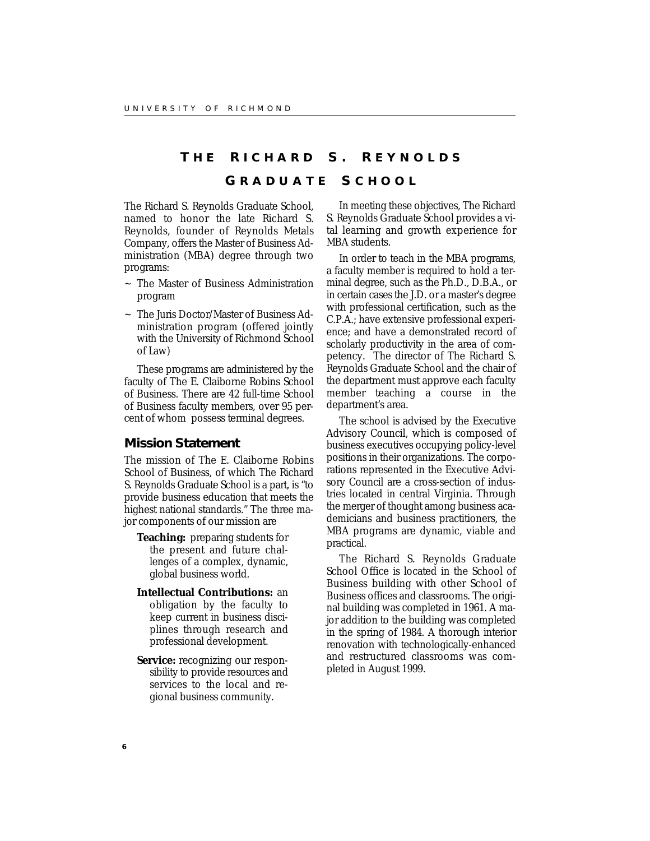### **T H E R ICHARD S. R EYNOLDS**

### **G RADUATE S CHOOL**

The Richard S. Reynolds Graduate School, named to honor the late Richard S. Reynolds, founder of Reynolds Metals Company, offers the Master of Business Administration (MBA) degree through two programs:

- ~ The Master of Business Administration program
- ~ The Juris Doctor/Master of Business Administration program (offered jointly with the University of Richmond School of Law)

These programs are administered by the faculty of The E. Claiborne Robins School of Business. There are 42 full-time School of Business faculty members, over 95 percent of whom possess terminal degrees.

### **Mission Statement**

The mission of The E. Claiborne Robins School of Business, of which The Richard S. Reynolds Graduate School is a part, is "to provide business education that meets the highest national standards." The three major components of our mission are

- **Teaching:** preparing students for the present and future challenges of a complex, dynamic, global business world.
- **Intellectual Contributions:** an obligation by the faculty to keep current in business disciplines through research and professional development.
- **Service:** recognizing our responsibility to provide resources and services to the local and regional business community.

In meeting these objectives, The Richard S. Reynolds Graduate School provides a vital learning and growth experience for MBA students.

In order to teach in the MBA programs, a faculty member is required to hold a terminal degree, such as the Ph.D., D.B.A., or in certain cases the J.D. or a master's degree with professional certification, such as the C.P.A.; have extensive professional experience; and have a demonstrated record of scholarly productivity in the area of competency. The director of The Richard S. Reynolds Graduate School and the chair of the department must approve each faculty member teaching a course in the department's area.

The school is advised by the Executive Advisory Council, which is composed of business executives occupying policy-level positions in their organizations. The corporations represented in the Executive Advisory Council are a cross-section of industries located in central Virginia. Through the merger of thought among business academicians and business practitioners, the MBA programs are dynamic, viable and practical.

The Richard S. Reynolds Graduate School Office is located in the School of Business building with other School of Business offices and classrooms. The original building was completed in 1961. A major addition to the building was completed in the spring of 1984. A thorough interior renovation with technologically-enhanced and restructured classrooms was completed in August 1999.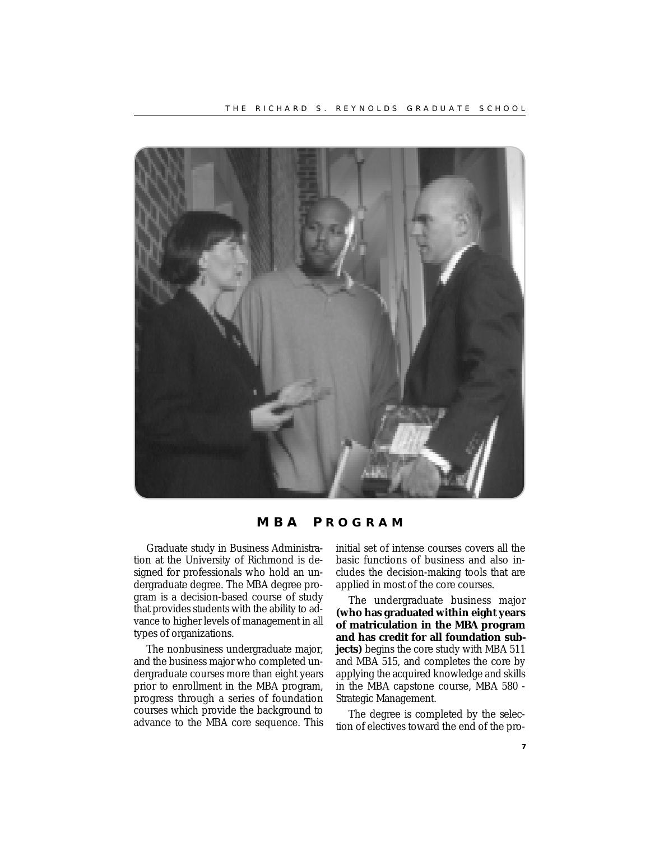

**MBA P ROGRAM**

Graduate study in Business Administration at the University of Richmond is designed for professionals who hold an undergraduate degree. The MBA degree program is a decision-based course of study that provides students with the ability to advance to higher levels of management in all types of organizations.

The nonbusiness undergraduate major, and the business major who completed undergraduate courses more than eight years prior to enrollment in the MBA program, progress through a series of foundation courses which provide the background to advance to the MBA core sequence. This initial set of intense courses covers all the basic functions of business and also includes the decision-making tools that are applied in most of the core courses.

The undergraduate business major **(who has graduated within eight years of matriculation in the MBA program and has credit for all foundation subjects**) begins the core study with MBA 511 and MBA 515, and completes the core by applying the acquired knowledge and skills in the MBA capstone course, MBA 580 - Strategic Management.

The degree is completed by the selection of electives toward the end of the pro-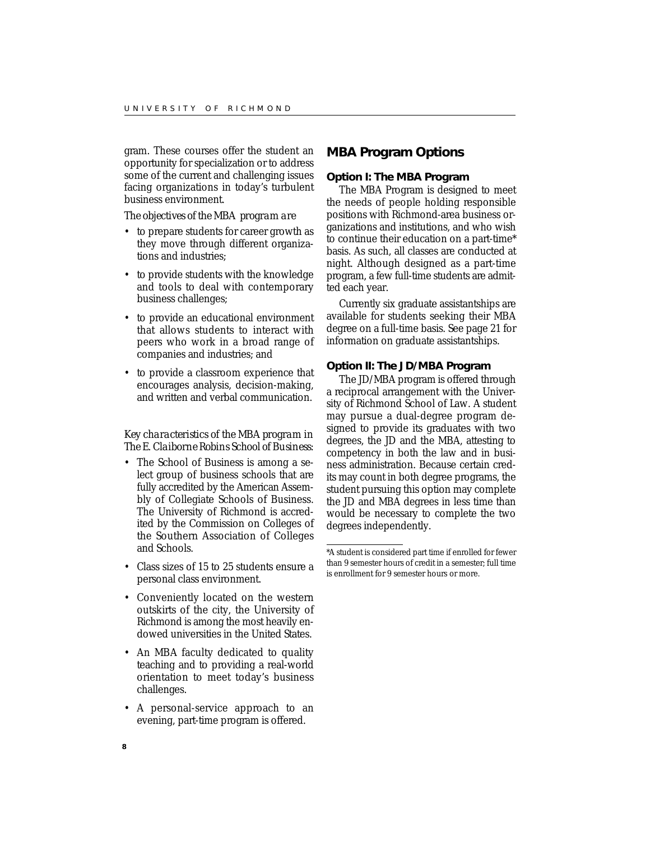gram. These courses offer the student an opportunity for specialization or to address some of the current and challenging issues facing organizations in today's turbulent business environment.

*The objectives of the MBA program are*

- to prepare students for career growth as they move through different organizations and industries;
- to provide students with the knowledge and tools to deal with contemporary business challenges;
- to provide an educational environment that allows students to interact with peers who work in a broad range of companies and industries; and
- to provide a classroom experience that encourages analysis, decision-making, and written and verbal communication.

### *Key characteristics of the MBA program in The E. Claiborne Robins School of Business:*

- The School of Business is among a select group of business schools that are fully accredited by the American Assembly of Collegiate Schools of Business. The University of Richmond is accredited by the Commission on Colleges of the Southern Association of Colleges and Schools.
- Class sizes of 15 to 25 students ensure a personal class environment.
- Conveniently located on the western outskirts of the city, the University of Richmond is among the most heavily endowed universities in the United States.
- An MBA faculty dedicated to quality teaching and to providing a real-world orientation to meet today's business challenges.
- A personal-service approach to an evening, part-time program is offered.

### **MBA Program Options**

### **Option I: The MBA Program**

The MBA Program is designed to meet the needs of people holding responsible positions with Richmond-area business organizations and institutions, and who wish to continue their education on a part-time\* basis. As such, all classes are conducted at night. Although designed as a part-time program, a few full-time students are admitted each year.

Currently six graduate assistantships are available for students seeking their MBA degree on a full-time basis. See page 21 for information on graduate assistantships.

#### **Option II: The JD/MBA Program**

The JD/MBA program is offered through a reciprocal arrangement with the University of Richmond School of Law. A student may pursue a dual-degree program designed to provide its graduates with two degrees, the JD and the MBA, attesting to competency in both the law and in business administration. Because certain credits may count in both degree programs, the student pursuing this option may complete the JD and MBA degrees in less time than would be necessary to complete the two degrees independently.

<sup>\*</sup>A student is considered part time if enrolled for fewer than 9 semester hours of credit in a semester; full time is enrollment for 9 semester hours or more.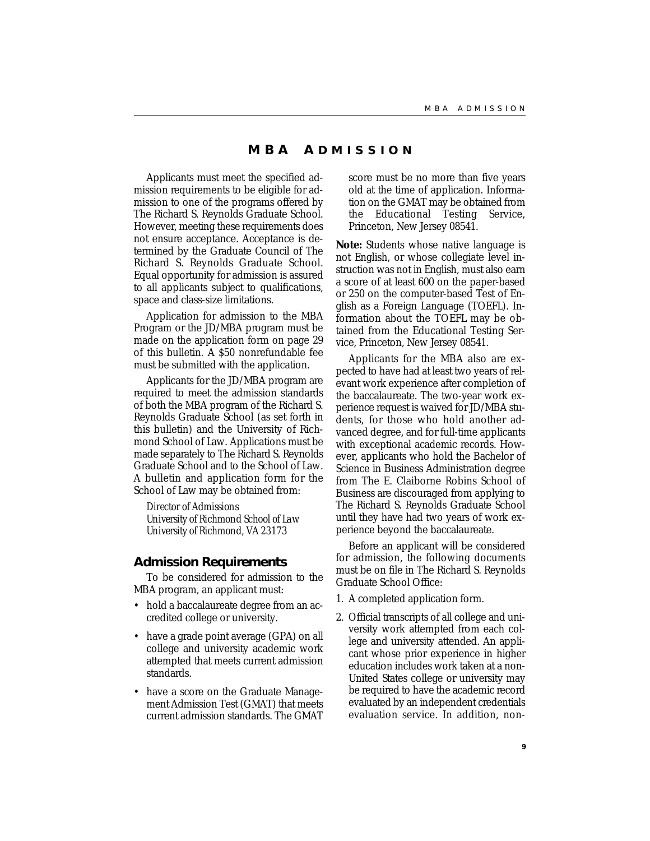### **MBA A DMISSION**

Applicants must meet the specified admission requirements to be eligible for admission to one of the programs offered by The Richard S. Reynolds Graduate School. However, meeting these requirements does not ensure acceptance. Acceptance is determined by the Graduate Council of The Richard S. Reynolds Graduate School. Equal opportunity for admission is assured to all applicants subject to qualifications, space and class-size limitations.

Application for admission to the MBA Program or the JD/MBA program must be made on the application form on page 29 of this bulletin. A \$50 nonrefundable fee must be submitted with the application.

Applicants for the JD/MBA program are required to meet the admission standards of both the MBA program of the Richard S. Reynolds Graduate School (as set forth in this bulletin) and the University of Richmond School of Law. Applications must be made separately to The Richard S. Reynolds Graduate School and to the School of Law. A bulletin and application form for the School of Law may be obtained from:

*Director of Admissions University of Richmond School of Law University of Richmond, VA 23173*

#### **Admission Requirements**

To be considered for admission to the MBA program, an applicant must:

- hold a baccalaureate degree from an accredited college or university.
- have a grade point average (GPA) on all college and university academic work attempted that meets current admission standards.
- have a score on the Graduate Management Admission Test (GMAT) that meets current admission standards. The GMAT

score must be no more than five years old at the time of application. Information on the GMAT may be obtained from the Educational Testing Service, Princeton, New Jersey 08541.

**Note:** Students whose native language is not English, or whose collegiate level instruction was not in English, must also earn a score of at least 600 on the paper-based or 250 on the computer-based Test of English as a Foreign Language (TOEFL). Information about the TOEFL may be obtained from the Educational Testing Service, Princeton, New Jersey 08541.

Applicants for the MBA also are expected to have had at least two years of relevant work experience after completion of the baccalaureate. The two-year work experience request is waived for JD/MBA students, for those who hold another advanced degree, and for full-time applicants with exceptional academic records. However, applicants who hold the Bachelor of Science in Business Administration degree from The E. Claiborne Robins School of Business are discouraged from applying to The Richard S. Reynolds Graduate School until they have had two years of work experience beyond the baccalaureate.

Before an applicant will be considered for admission, the following documents must be on file in The Richard S. Reynolds Graduate School Office:

- 1. A completed application form.
- 2. Official transcripts of all college and university work attempted from each college and university attended. An applicant whose prior experience in higher education includes work taken at a non-United States college or university may be required to have the academic record evaluated by an independent credentials evaluation service. In addition, non-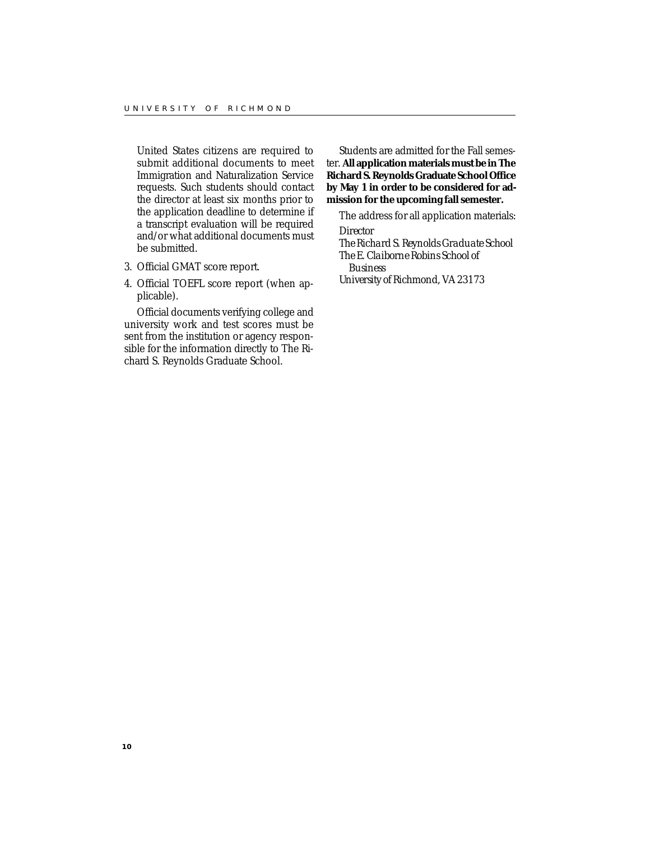United States citizens are required to submit additional documents to meet Immigration and Naturalization Service requests. Such students should contact the director at least six months prior to the application deadline to determine if a transcript evaluation will be required and/or what additional documents must be submitted.

- 3. Official GMAT score report.
- 4. Official TOEFL score report (when applicable).

Official documents verifying college and university work and test scores must be sent from the institution or agency responsible for the information directly to The Richard S. Reynolds Graduate School.

Students are admitted for the Fall semester. **All application materials must be in The Richard S. Reynolds Graduate School Office by May 1 in order to be considered for admission for the upcoming fall semester.**

The address for all application materials:

*Director The Richard S. Reynolds Graduate School The E. Claiborne Robins School of*

*Business University of Richmond, VA 23173*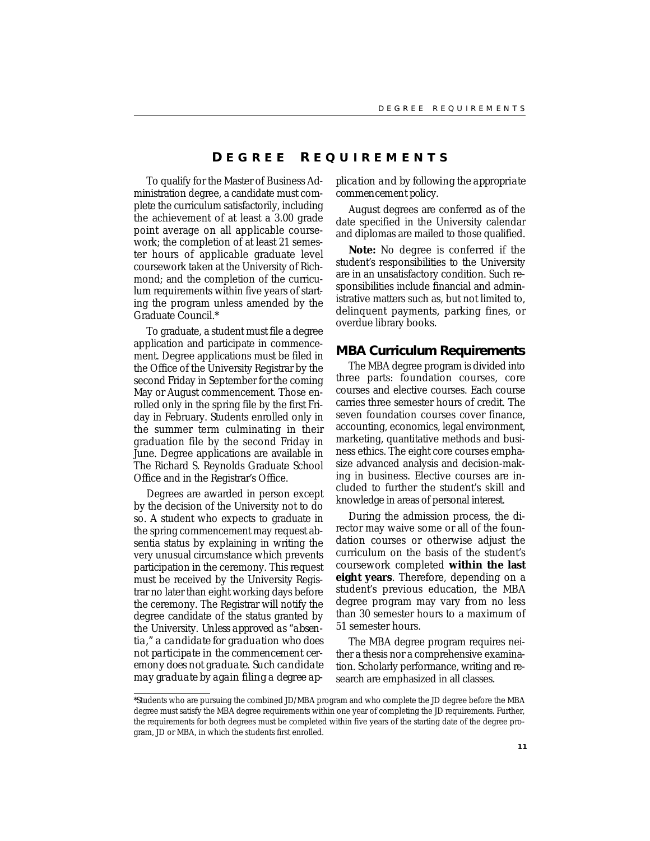### **D EGREE R EQUIREMENTS**

To qualify for the Master of Business Administration degree, a candidate must complete the curriculum satisfactorily, including the achievement of at least a 3.00 grade point average on all applicable coursework; the completion of at least 21 semester hours of applicable graduate level coursework taken at the University of Richmond; and the completion of the curriculum requirements within five years of starting the program unless amended by the Graduate Council.\*

To graduate, a student must file a degree application and participate in commencement. Degree applications must be filed in the Office of the University Registrar by the second Friday in September for the coming May or August commencement. Those enrolled only in the spring file by the first Friday in February. Students enrolled only in the summer term culminating in their graduation file by the second Friday in June. Degree applications are available in The Richard S. Reynolds Graduate School Office and in the Registrar's Office.

Degrees are awarded in person except by the decision of the University not to do so. A student who expects to graduate in the spring commencement may request absentia status by explaining in writing the very unusual circumstance which prevents participation in the ceremony. This request must be received by the University Registrar no later than eight working days before the ceremony. The Registrar will notify the degree candidate of the status granted by the University. *Unless approved as "absentia," a candidate for graduation who does not participate in the commencement ceremony does not graduate. Such candidate may graduate by again filing a degree ap-* *plication and by following the appropriate commencement policy.*

August degrees are conferred as of the date specified in the University calendar and diplomas are mailed to those qualified.

**Note:** No degree is conferred if the student's responsibilities to the University are in an unsatisfactory condition. Such responsibilities include financial and administrative matters such as, but not limited to, delinquent payments, parking fines, or overdue library books.

### **MBA Curriculum Requirements**

The MBA degree program is divided into three parts: foundation courses, core courses and elective courses. Each course carries three semester hours of credit. The seven foundation courses cover finance, accounting, economics, legal environment, marketing, quantitative methods and business ethics. The eight core courses emphasize advanced analysis and decision-making in business. Elective courses are included to further the student's skill and knowledge in areas of personal interest.

During the admission process, the director may waive some or all of the foundation courses or otherwise adjust the curriculum on the basis of the student's coursework completed **within the last eight years**. Therefore, depending on a student's previous education, the MBA degree program may vary from no less than 30 semester hours to a maximum of 51 semester hours.

The MBA degree program requires neither a thesis nor a comprehensive examination. Scholarly performance, writing and research are emphasized in all classes.

<sup>\*</sup>Students who are pursuing the combined JD/MBA program and who complete the JD degree before the MBA degree must satisfy the MBA degree requirements within one year of completing the JD requirements. Further, the requirements for both degrees must be completed within five years of the starting date of the degree program, JD or MBA, in which the students first enrolled.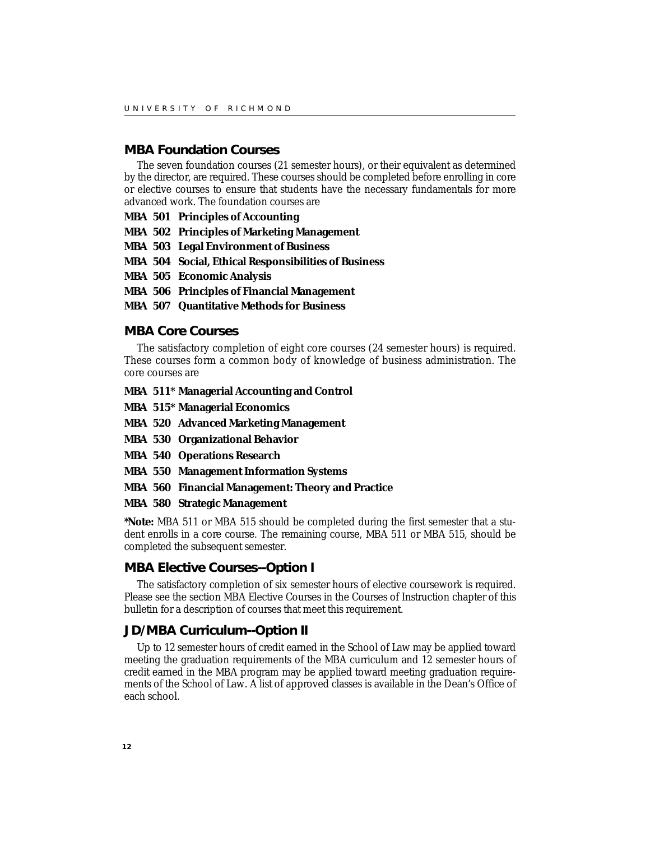### **MBA Foundation Courses**

The seven foundation courses (21 semester hours), or their equivalent as determined by the director, are required. These courses should be completed before enrolling in core or elective courses to ensure that students have the necessary fundamentals for more advanced work. The foundation courses are

- **MBA 501 Principles of Accounting**
- **MBA 502 Principles of Marketing Management**
- **MBA 503 Legal Environment of Business**
- **MBA 504 Social, Ethical Responsibilities of Business**
- **MBA 505 Economic Analysis**
- **MBA 506 Principles of Financial Management**
- **MBA 507 Quantitative Methods for Business**

### **MBA Core Courses**

The satisfactory completion of eight core courses (24 semester hours) is required. These courses form a common body of knowledge of business administration. The core courses are

### **MBA 511\* Managerial Accounting and Control**

- **MBA 515\* Managerial Economics**
- **MBA 520 Advanced Marketing Management**
- **MBA 530 Organizational Behavior**
- **MBA 540 Operations Research**
- **MBA 550 Management Information Systems**
- **MBA 560 Financial Management: Theory and Practice**

### **MBA 580 Strategic Management**

**\*Note:** MBA 511 or MBA 515 should be completed during the first semester that a student enrolls in a core course. The remaining course, MBA 511 or MBA 515, should be completed the subsequent semester.

### **MBA Elective Courses--Option I**

The satisfactory completion of six semester hours of elective coursework is required. Please see the section MBA Elective Courses in the Courses of Instruction chapter of this bulletin for a description of courses that meet this requirement.

### **JD/MBA Curriculum--Option II**

Up to 12 semester hours of credit earned in the School of Law may be applied toward meeting the graduation requirements of the MBA curriculum and 12 semester hours of credit earned in the MBA program may be applied toward meeting graduation requirements of the School of Law. A list of approved classes is available in the Dean's Office of each school.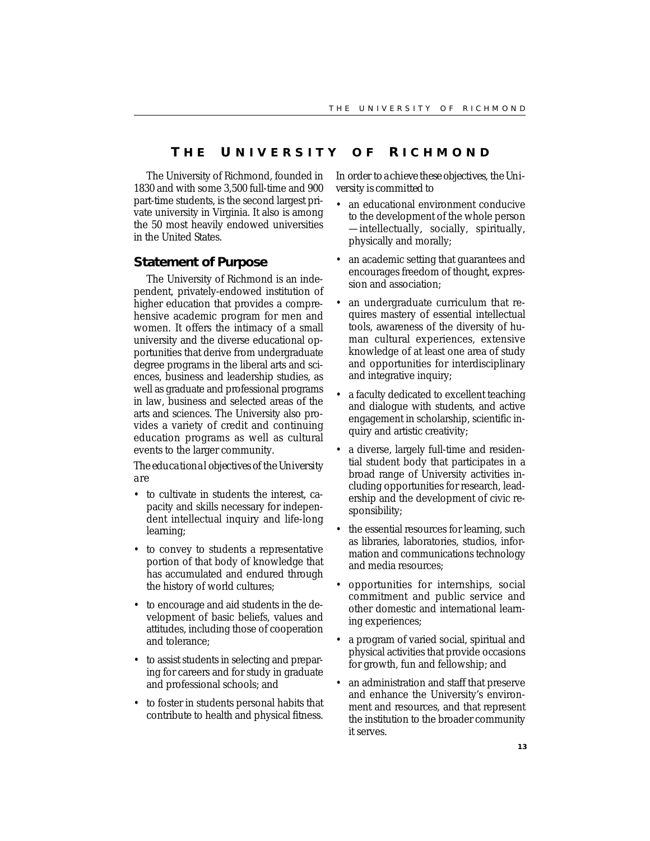### **T H E U NIVERSITY O F R ICHMOND**

The University of Richmond, founded in 1830 and with some 3,500 full-time and 900 part-time students, is the second largest private university in Virginia. It also is among the 50 most heavily endowed universities in the United States.

### **Statement of Purpose**

The University of Richmond is an independent, privately-endowed institution of higher education that provides a comprehensive academic program for men and women. It offers the intimacy of a small university and the diverse educational opportunities that derive from undergraduate degree programs in the liberal arts and sciences, business and leadership studies, as well as graduate and professional programs in law, business and selected areas of the arts and sciences. The University also provides a variety of credit and continuing education programs as well as cultural events to the larger community.

*The educational objectives of the University are*

- to cultivate in students the interest, capacity and skills necessary for independent intellectual inquiry and life-long learning;
- to convey to students a representative portion of that body of knowledge that has accumulated and endured through the history of world cultures;
- to encourage and aid students in the development of basic beliefs, values and attitudes, including those of cooperation and tolerance;
- to assist students in selecting and preparing for careers and for study in graduate and professional schools; and
- to foster in students personal habits that contribute to health and physical fitness.

*In order to achieve these objectives, the University is committed to*

- an educational environment conducive to the development of the whole person —intellectually, socially, spiritually, physically and morally;
- an academic setting that guarantees and encourages freedom of thought, expression and association;
- an undergraduate curriculum that requires mastery of essential intellectual tools, awareness of the diversity of human cultural experiences, extensive knowledge of at least one area of study and opportunities for interdisciplinary and integrative inquiry;
- a faculty dedicated to excellent teaching and dialogue with students, and active engagement in scholarship, scientific inquiry and artistic creativity;
- a diverse, largely full-time and residential student body that participates in a broad range of University activities including opportunities for research, leadership and the development of civic responsibility;
- the essential resources for learning, such as libraries, laboratories, studios, information and communications technology and media resources;
- opportunities for internships, social commitment and public service and other domestic and international learning experiences;
- a program of varied social, spiritual and physical activities that provide occasions for growth, fun and fellowship; and
- an administration and staff that preserve and enhance the University's environment and resources, and that represent the institution to the broader community it serves.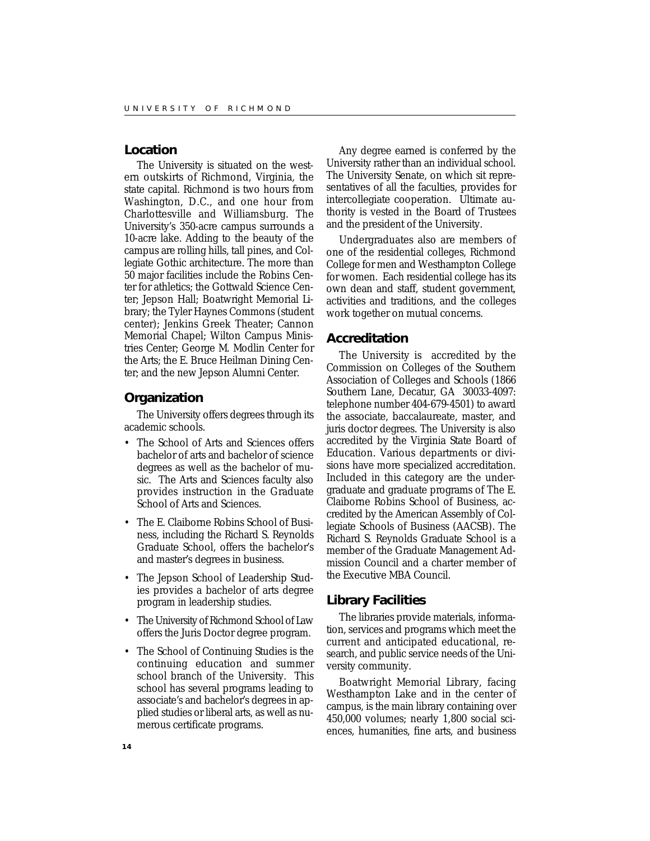### **Location**

The University is situated on the western outskirts of Richmond, Virginia, the state capital. Richmond is two hours from Washington, D.C., and one hour from Charlottesville and Williamsburg. The University's 350-acre campus surrounds a 10-acre lake. Adding to the beauty of the campus are rolling hills, tall pines, and Collegiate Gothic architecture. The more than 50 major facilities include the Robins Center for athletics; the Gottwald Science Center; Jepson Hall; Boatwright Memorial Library; the Tyler Haynes Commons (student center); Jenkins Greek Theater; Cannon Memorial Chapel; Wilton Campus Ministries Center; George M. Modlin Center for the Arts; the E. Bruce Heilman Dining Center; and the new Jepson Alumni Center.

### **Organization**

The University offers degrees through its academic schools.

- The School of Arts and Sciences offers bachelor of arts and bachelor of science degrees as well as the bachelor of music. The Arts and Sciences faculty also provides instruction in the Graduate School of Arts and Sciences.
- The E. Claiborne Robins School of Business, including the Richard S. Reynolds Graduate School, offers the bachelor's and master's degrees in business.
- The Jepson School of Leadership Studies provides a bachelor of arts degree program in leadership studies.
- The University of Richmond School of Law offers the Juris Doctor degree program.
- The School of Continuing Studies is the continuing education and summer school branch of the University. This school has several programs leading to associate's and bachelor's degrees in applied studies or liberal arts, as well as numerous certificate programs.

Any degree earned is conferred by the University rather than an individual school. The University Senate, on which sit representatives of all the faculties, provides for intercollegiate cooperation. Ultimate authority is vested in the Board of Trustees and the president of the University.

Undergraduates also are members of one of the residential colleges, Richmond College for men and Westhampton College for women. Each residential college has its own dean and staff, student government, activities and traditions, and the colleges work together on mutual concerns.

### **Accreditation**

The University is accredited by the Commission on Colleges of the Southern Association of Colleges and Schools (1866 Southern Lane, Decatur, GA 30033-4097: telephone number 404-679-4501) to award the associate, baccalaureate, master, and juris doctor degrees. The University is also accredited by the Virginia State Board of Education. Various departments or divisions have more specialized accreditation. Included in this category are the undergraduate and graduate programs of The E. Claiborne Robins School of Business, accredited by the American Assembly of Collegiate Schools of Business (AACSB). The Richard S. Reynolds Graduate School is a member of the Graduate Management Admission Council and a charter member of the Executive MBA Council.

### **Library Facilities**

The libraries provide materials, information, services and programs which meet the current and anticipated educational, research, and public service needs of the University community.

Boatwright Memorial Library, facing Westhampton Lake and in the center of campus, is the main library containing over 450,000 volumes; nearly 1,800 social sciences, humanities, fine arts, and business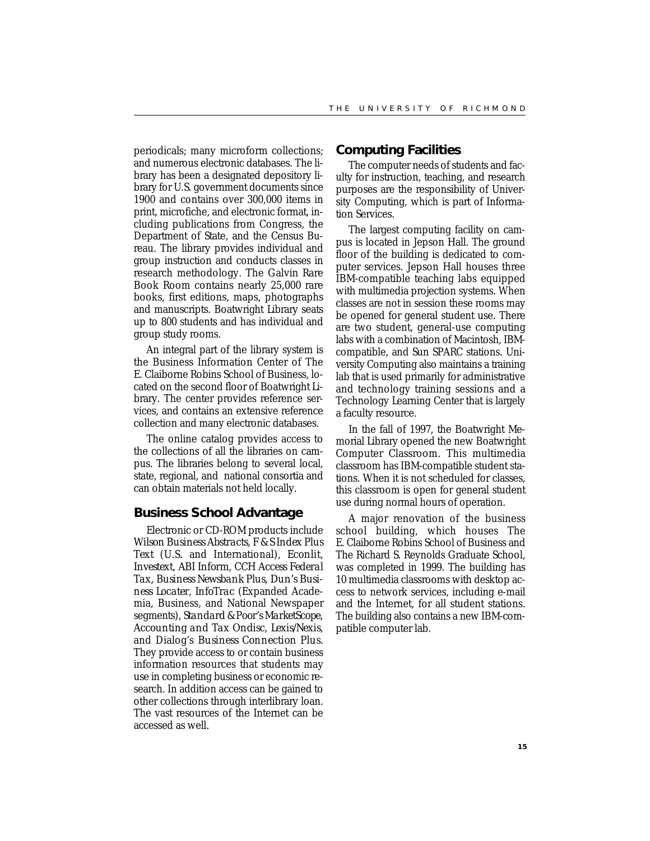periodicals; many microform collections; and numerous electronic databases. The library has been a designated depository library for U.S. government documents since 1900 and contains over 300,000 items in print, microfiche, and electronic format, including publications from Congress, the Department of State, and the Census Bureau. The library provides individual and group instruction and conducts classes in research methodology. The Galvin Rare Book Room contains nearly 25,000 rare books, first editions, maps, photographs and manuscripts. Boatwright Library seats up to 800 students and has individual and group study rooms.

An integral part of the library system is the Business Information Center of The E. Claiborne Robins School of Business, located on the second floor of Boatwright Library. The center provides reference services, and contains an extensive reference collection and many electronic databases.

The online catalog provides access to the collections of all the libraries on campus. The libraries belong to several local, state, regional, and national consortia and can obtain materials not held locally.

### **Business School Advantage**

Electronic or CD-ROM products include *Wilson Business Abstracts*, *F & S Index Plus Text* (U.S. and International), *Econlit, Investext, ABI Inform, CCH Access Federal Tax, Business Newsbank Plus, Dun's Business Locater, InfoTrac* (Expanded Academia, Business, and National Newspaper segments), *Standard & Poor's MarketScope, Accounting and Tax Ondisc, Lexis/Nexis*, and Dialog's *Business Connection Plus*. They provide access to or contain business information resources that students may use in completing business or economic research. In addition access can be gained to other collections through interlibrary loan. The vast resources of the Internet can be accessed as well.

### **Computing Facilities**

The computer needs of students and faculty for instruction, teaching, and research purposes are the responsibility of University Computing, which is part of Information Services.

The largest computing facility on campus is located in Jepson Hall. The ground floor of the building is dedicated to computer services. Jepson Hall houses three IBM-compatible teaching labs equipped with multimedia projection systems. When classes are not in session these rooms may be opened for general student use. There are two student, general-use computing labs with a combination of Macintosh, IBMcompatible, and Sun SPARC stations. University Computing also maintains a training lab that is used primarily for administrative and technology training sessions and a Technology Learning Center that is largely a faculty resource.

In the fall of 1997, the Boatwright Memorial Library opened the new Boatwright Computer Classroom. This multimedia classroom has IBM-compatible student stations. When it is not scheduled for classes, this classroom is open for general student use during normal hours of operation.

A major renovation of the business school building, which houses The E. Claiborne Robins School of Business and The Richard S. Reynolds Graduate School, was completed in 1999. The building has 10 multimedia classrooms with desktop access to network services, including e-mail and the Internet, for all student stations. The building also contains a new IBM-compatible computer lab.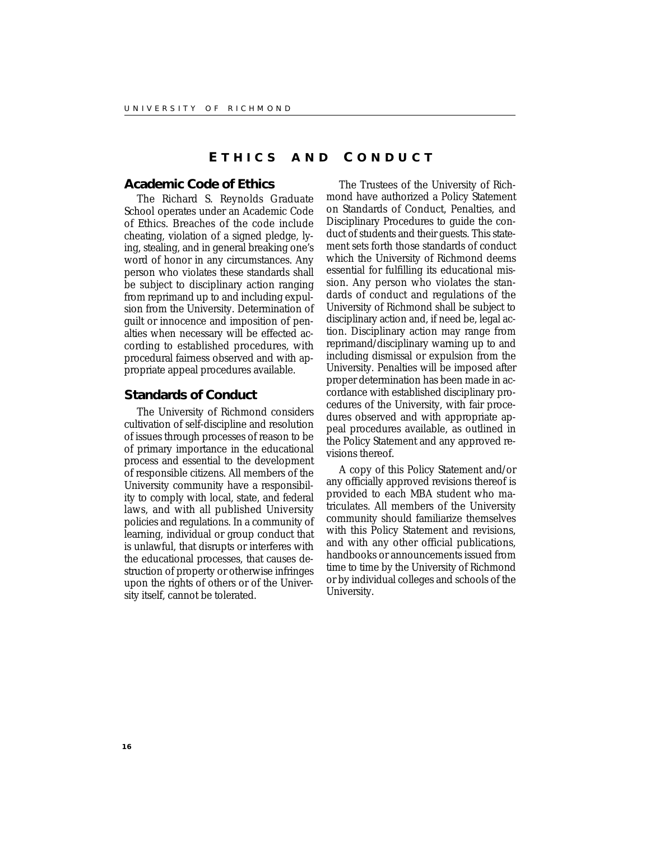### **E THICS AND C ONDUCT**

### **Academic Code of Ethics**

The Richard S. Reynolds Graduate School operates under an Academic Code of Ethics. Breaches of the code include cheating, violation of a signed pledge, lying, stealing, and in general breaking one's word of honor in any circumstances. Any person who violates these standards shall be subject to disciplinary action ranging from reprimand up to and including expulsion from the University. Determination of guilt or innocence and imposition of penalties when necessary will be effected according to established procedures, with procedural fairness observed and with appropriate appeal procedures available.

### **Standards of Conduct**

The University of Richmond considers cultivation of self-discipline and resolution of issues through processes of reason to be of primary importance in the educational process and essential to the development of responsible citizens. All members of the University community have a responsibility to comply with local, state, and federal laws, and with all published University policies and regulations. In a community of learning, individual or group conduct that is unlawful, that disrupts or interferes with the educational processes, that causes destruction of property or otherwise infringes upon the rights of others or of the University itself, cannot be tolerated.

The Trustees of the University of Richmond have authorized a Policy Statement on Standards of Conduct, Penalties, and Disciplinary Procedures to guide the conduct of students and their guests. This statement sets forth those standards of conduct which the University of Richmond deems essential for fulfilling its educational mission. Any person who violates the standards of conduct and regulations of the University of Richmond shall be subject to disciplinary action and, if need be, legal action. Disciplinary action may range from reprimand/disciplinary warning up to and including dismissal or expulsion from the University. Penalties will be imposed after proper determination has been made in accordance with established disciplinary procedures of the University, with fair procedures observed and with appropriate appeal procedures available, as outlined in the Policy Statement and any approved revisions thereof.

A copy of this Policy Statement and/or any officially approved revisions thereof is provided to each MBA student who matriculates. All members of the University community should familiarize themselves with this Policy Statement and revisions, and with any other official publications, handbooks or announcements issued from time to time by the University of Richmond or by individual colleges and schools of the University.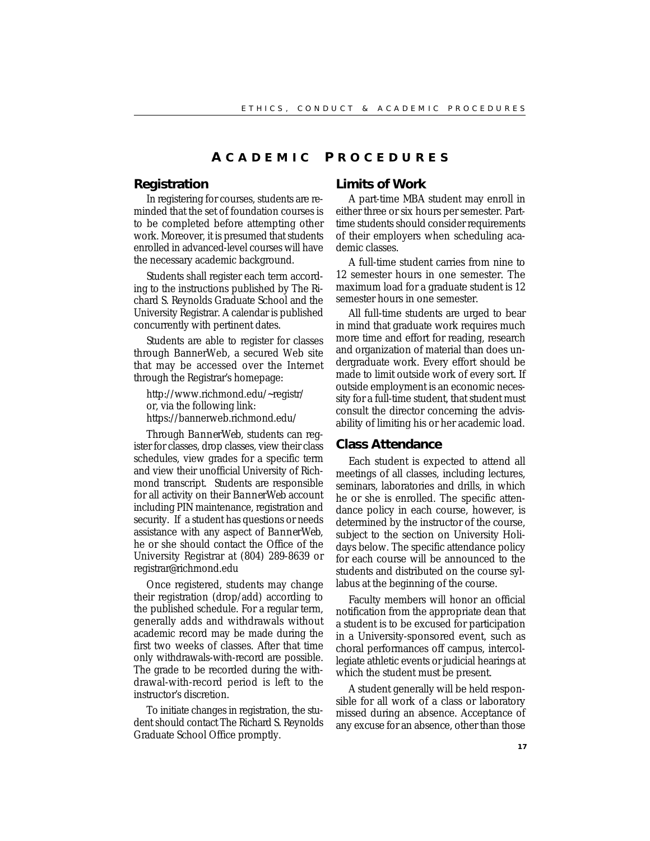### **A CADEMIC P ROCEDURES**

### **Registration**

In registering for courses, students are reminded that the set of foundation courses is to be completed before attempting other work. Moreover, it is presumed that students enrolled in advanced-level courses will have the necessary academic background.

Students shall register each term according to the instructions published by The Richard S. Reynolds Graduate School and the University Registrar. A calendar is published concurrently with pertinent dates.

Students are able to register for classes through BannerWeb, a secured Web site that may be accessed over the Internet through the Registrar's homepage:

http://www.richmond.edu/~registr/ or, via the following link: https://bannerweb.richmond.edu/

Through *BannerWeb*, students can register for classes, drop classes, view their class schedules, view grades for a specific term and view their unofficial University of Richmond transcript. Students are responsible for all activity on their *BannerWeb* account including PIN maintenance, registration and security. If a student has questions or needs assistance with any aspect of *BannerWeb*, he or she should contact the Office of the University Registrar at (804) 289-8639 or registrar@richmond.edu

Once registered, students may change their registration (drop/add) according to the published schedule. For a regular term, generally adds and withdrawals without academic record may be made during the first two weeks of classes. After that time only withdrawals-with-record are possible. The grade to be recorded during the withdrawal-with-record period is left to the instructor's discretion.

To initiate changes in registration, the student should contact The Richard S. Reynolds Graduate School Office promptly.

### **Limits of Work**

A part-time MBA student may enroll in either three or six hours per semester. Parttime students should consider requirements of their employers when scheduling academic classes.

A full-time student carries from nine to 12 semester hours in one semester. The maximum load for a graduate student is 12 semester hours in one semester.

All full-time students are urged to bear in mind that graduate work requires much more time and effort for reading, research and organization of material than does undergraduate work. Every effort should be made to limit outside work of every sort. If outside employment is an economic necessity for a full-time student, that student must consult the director concerning the advisability of limiting his or her academic load.

### **Class Attendance**

Each student is expected to attend all meetings of all classes, including lectures, seminars, laboratories and drills, in which he or she is enrolled. The specific attendance policy in each course, however, is determined by the instructor of the course, subject to the section on University Holidays below. The specific attendance policy for each course will be announced to the students and distributed on the course syllabus at the beginning of the course.

Faculty members will honor an official notification from the appropriate dean that a student is to be excused for participation in a University-sponsored event, such as choral performances off campus, intercollegiate athletic events or judicial hearings at which the student must be present.

A student generally will be held responsible for all work of a class or laboratory missed during an absence. Acceptance of any excuse for an absence, other than those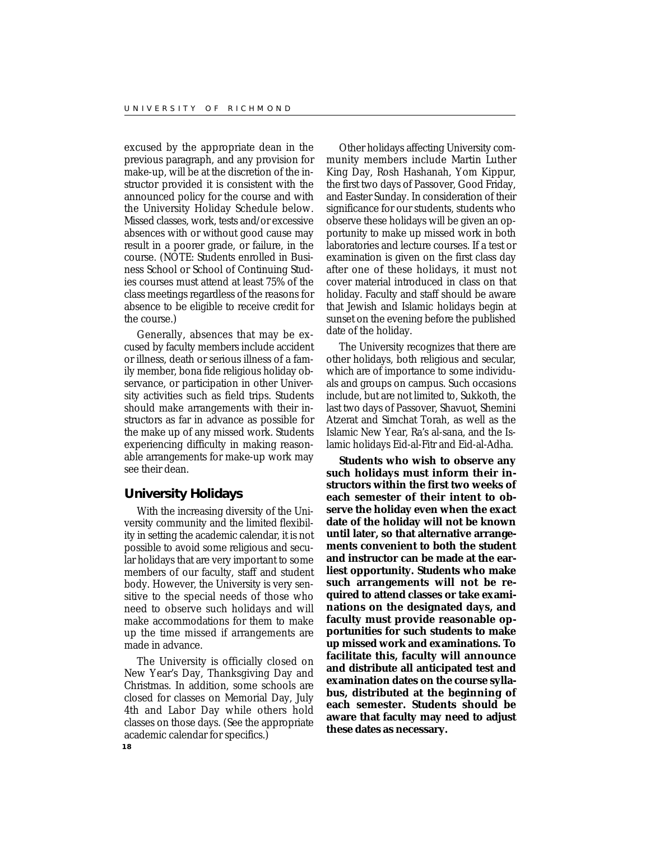excused by the appropriate dean in the previous paragraph, and any provision for make-up, will be at the discretion of the instructor provided it is consistent with the announced policy for the course and with the University Holiday Schedule below. Missed classes, work, tests and/or excessive absences with or without good cause may result in a poorer grade, or failure, in the course. (NOTE: Students enrolled in Business School or School of Continuing Studies courses must attend at least 75% of the class meetings regardless of the reasons for absence to be eligible to receive credit for the course.)

Generally, absences that may be excused by faculty members include accident or illness, death or serious illness of a family member, bona fide religious holiday observance, or participation in other University activities such as field trips. Students should make arrangements with their instructors as far in advance as possible for the make up of any missed work. Students experiencing difficulty in making reasonable arrangements for make-up work may see their dean.

### **University Holidays**

With the increasing diversity of the University community and the limited flexibility in setting the academic calendar, it is not possible to avoid some religious and secular holidays that are very important to some members of our faculty, staff and student body. However, the University is very sensitive to the special needs of those who need to observe such holidays and will make accommodations for them to make up the time missed if arrangements are made in advance.

The University is officially closed on New Year's Day, Thanksgiving Day and Christmas. In addition, some schools are closed for classes on Memorial Day, July 4th and Labor Day while others hold classes on those days. (See the appropriate academic calendar for specifics.)

Other holidays affecting University community members include Martin Luther King Day, Rosh Hashanah, Yom Kippur, the first two days of Passover, Good Friday, and Easter Sunday. In consideration of their significance for our students, students who observe these holidays will be given an opportunity to make up missed work in both laboratories and lecture courses. If a test or examination is given on the first class day after one of these holidays, it must not cover material introduced in class on that holiday. Faculty and staff should be aware that Jewish and Islamic holidays begin at sunset on the evening before the published date of the holiday.

The University recognizes that there are other holidays, both religious and secular, which are of importance to some individuals and groups on campus. Such occasions include, but are not limited to, Sukkoth, the last two days of Passover, Shavuot, Shemini Atzerat and Simchat Torah, as well as the Islamic New Year, Ra's al-sana, and the Islamic holidays Eid-al-Fitr and Eid-al-Adha.

**Students who wish to observe any such holidays must inform their instructors within the first two weeks of each semester of their intent to observe the holiday even when the exact date of the holiday will not be known until later, so that alternative arrangements convenient to both the student and instructor can be made at the earliest opportunity. Students who make such arrangements will not be required to attend classes or take examinations on the designated days, and faculty must provide reasonable opportunities for such students to make up missed work and examinations. To facilitate this, faculty will announce and distribute all anticipated test and examination dates on the course syllabus, distributed at the beginning of each semester. Students should be aware that faculty may need to adjust these dates as necessary.**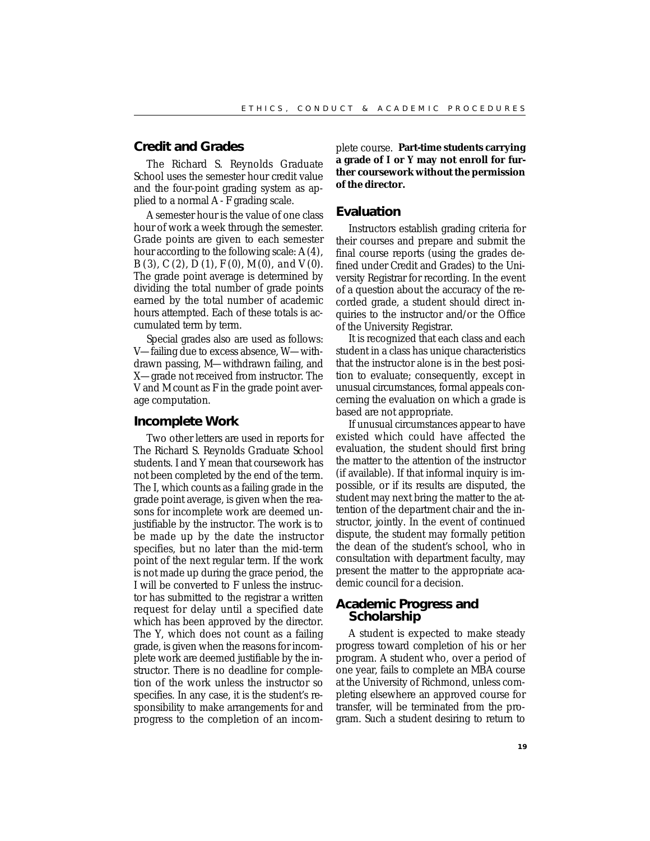### **Credit and Grades**

The Richard S. Reynolds Graduate School uses the semester hour credit value and the four-point grading system as applied to a normal *A - F* grading scale.

A semester hour is the value of one class hour of work a week through the semester. Grade points are given to each semester hour according to the following scale: *A* (4), *B* (3), *C* (2), *D* (1), *F* (0), *M* (0), and *V* (0). The grade point average is determined by dividing the total number of grade points earned by the total number of academic hours attempted. Each of these totals is accumulated term by term.

Special grades also are used as follows: *V*—failing due to excess absence, *W*—withdrawn passing, *M*—withdrawn failing, and *X*—grade not received from instructor. The *V* and *M* count as *F* in the grade point average computation.

### **Incomplete Work**

Two other letters are used in reports for The Richard S. Reynolds Graduate School students. *I* and *Y* mean that coursework has not been completed by the end of the term. The *I*, which counts as a failing grade in the grade point average, is given when the reasons for incomplete work are deemed unjustifiable by the instructor. The work is to be made up by the date the instructor specifies, but no later than the mid-term point of the next regular term. If the work is not made up during the grace period, the *I* will be converted to *F* unless the instructor has submitted to the registrar a written request for delay until a specified date which has been approved by the director. The *Y*, which does not count as a failing grade, is given when the reasons for incomplete work are deemed justifiable by the instructor. There is no deadline for completion of the work unless the instructor so specifies. In any case, it is the student's responsibility to make arrangements for and progress to the completion of an incom-

plete course. **Part-time students carrying a grade of** *I* **or** *Y* **may not enroll for further coursework without the permission of the director.**

### **Evaluation**

Instructors establish grading criteria for their courses and prepare and submit the final course reports (using the grades defined under Credit and Grades) to the University Registrar for recording. In the event of a question about the accuracy of the recorded grade, a student should direct inquiries to the instructor and/or the Office of the University Registrar.

It is recognized that each class and each student in a class has unique characteristics that the instructor alone is in the best position to evaluate; consequently, except in unusual circumstances, formal appeals concerning the evaluation on which a grade is based are not appropriate.

If unusual circumstances appear to have existed which could have affected the evaluation, the student should first bring the matter to the attention of the instructor (if available). If that informal inquiry is impossible, or if its results are disputed, the student may next bring the matter to the attention of the department chair and the instructor, jointly. In the event of continued dispute, the student may formally petition the dean of the student's school, who in consultation with department faculty, may present the matter to the appropriate academic council for a decision.

### **Academic Progress and Scholarship**

A student is expected to make steady progress toward completion of his or her program. A student who, over a period of one year, fails to complete an MBA course at the University of Richmond, unless completing elsewhere an approved course for transfer, will be terminated from the program. Such a student desiring to return to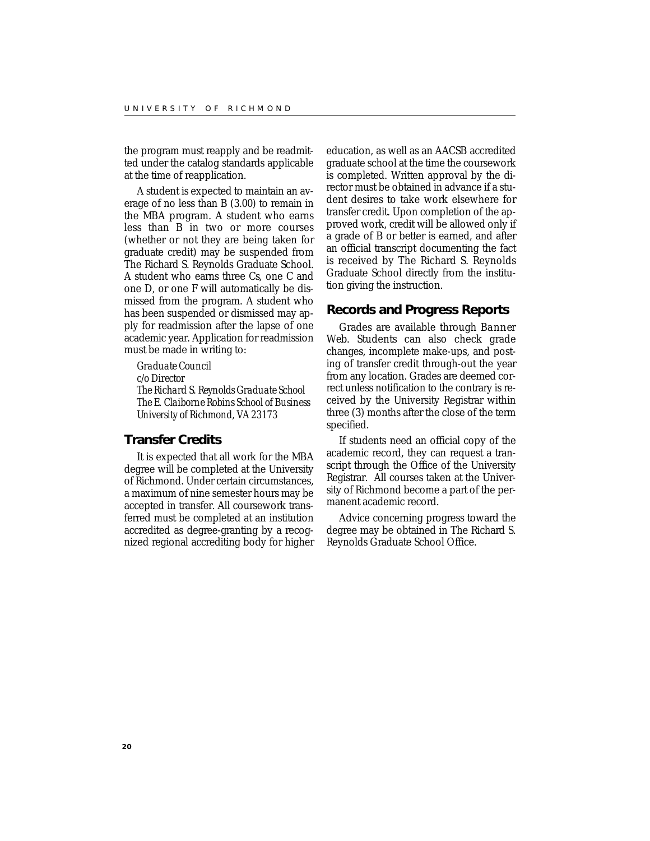the program must reapply and be readmitted under the catalog standards applicable at the time of reapplication.

A student is expected to maintain an average of no less than *B* (3.00) to remain in the MBA program. A student who earns less than *B* in two or more courses (whether or not they are being taken for graduate credit) may be suspended from The Richard S. Reynolds Graduate School. A student who earns three *Cs*, one *C* and one *D*, or one *F* will automatically be dismissed from the program. A student who has been suspended or dismissed may apply for readmission after the lapse of one academic year. Application for readmission must be made in writing to:

*Graduate Council c/o Director The Richard S. Reynolds Graduate School The E. Claiborne Robins School of Business University of Richmond, VA 23173*

### **Transfer Credits**

It is expected that all work for the MBA degree will be completed at the University of Richmond. Under certain circumstances, a maximum of nine semester hours may be accepted in transfer. All coursework transferred must be completed at an institution accredited as degree-granting by a recognized regional accrediting body for higher

education, as well as an AACSB accredited graduate school at the time the coursework is completed. Written approval by the director must be obtained in advance if a student desires to take work elsewhere for transfer credit. Upon completion of the approved work, credit will be allowed only if a grade of *B* or better is earned, and after an official transcript documenting the fact is received by The Richard S. Reynolds Graduate School directly from the institution giving the instruction.

### **Records and Progress Reports**

Grades are available through *Banner* Web. Students can also check grade changes, incomplete make-ups, and posting of transfer credit through-out the year from any location. Grades are deemed correct unless notification to the contrary is received by the University Registrar within three (3) months after the close of the term specified.

If students need an official copy of the academic record, they can request a transcript through the Office of the University Registrar. All courses taken at the University of Richmond become a part of the permanent academic record.

Advice concerning progress toward the degree may be obtained in The Richard S. Reynolds Graduate School Office.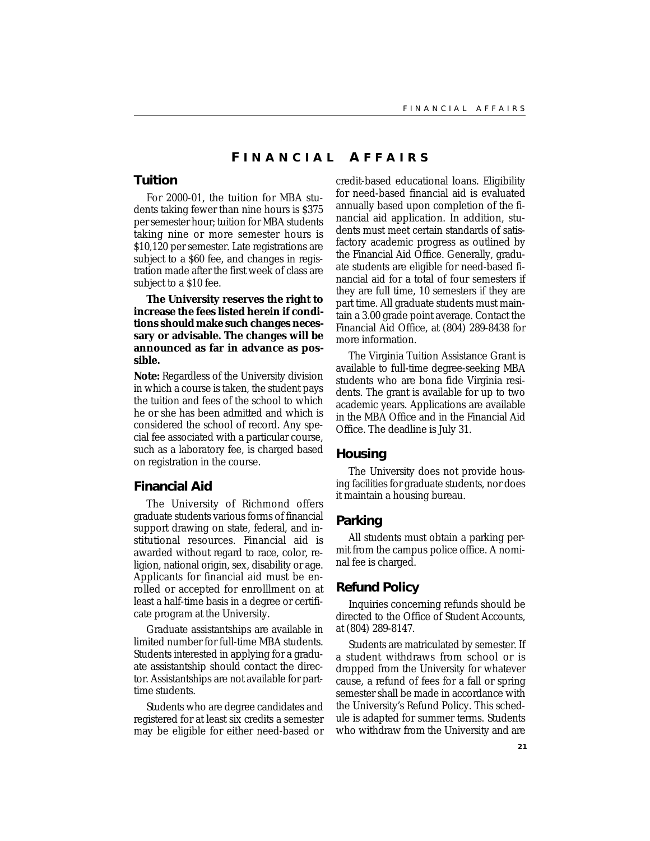### **F INANCIAL A FFAIRS**

### **Tuition**

For 2000-01, the tuition for MBA students taking fewer than nine hours is \$375 per semester hour; tuition for MBA students taking nine or more semester hours is \$10,120 per semester. Late registrations are subject to a \$60 fee, and changes in registration made after the first week of class are subject to a \$10 fee.

**The University reserves the right to increase the fees listed herein if conditions should make such changes necessary or advisable. The changes will be announced as far in advance as possible.**

**Note:** Regardless of the University division in which a course is taken, the student pays the tuition and fees of the school to which he or she has been admitted and which is considered the school of record. Any special fee associated with a particular course, such as a laboratory fee, is charged based on registration in the course.

### **Financial Aid**

The University of Richmond offers graduate students various forms of financial support drawing on state, federal, and institutional resources. Financial aid is awarded without regard to race, color, religion, national origin, sex, disability or age. Applicants for financial aid must be enrolled or accepted for enrolllment on at least a half-time basis in a degree or certificate program at the University.

Graduate assistantships are available in limited number for full-time MBA students. Students interested in applying for a graduate assistantship should contact the director. Assistantships are not available for parttime students.

Students who are degree candidates and registered for at least six credits a semester may be eligible for either need-based or credit-based educational loans. Eligibility for need-based financial aid is evaluated annually based upon completion of the financial aid application. In addition, students must meet certain standards of satisfactory academic progress as outlined by the Financial Aid Office. Generally, graduate students are eligible for need-based financial aid for a total of four semesters if they are full time, 10 semesters if they are part time. All graduate students must maintain a 3.00 grade point average. Contact the Financial Aid Office, at (804) 289-8438 for more information.

The Virginia Tuition Assistance Grant is available to full-time degree-seeking MBA students who are bona fide Virginia residents. The grant is available for up to two academic years. Applications are available in the MBA Office and in the Financial Aid Office. The deadline is July 31.

### **Housing**

The University does not provide housing facilities for graduate students, nor does it maintain a housing bureau.

### **Parking**

All students must obtain a parking permit from the campus police office. A nominal fee is charged.

### **Refund Policy**

Inquiries concerning refunds should be directed to the Office of Student Accounts, at (804) 289-8147.

Students are matriculated by semester. If a student withdraws from school or is dropped from the University for whatever cause, a refund of fees for a fall or spring semester shall be made in accordance with the University's Refund Policy. This schedule is adapted for summer terms. Students who withdraw from the University and are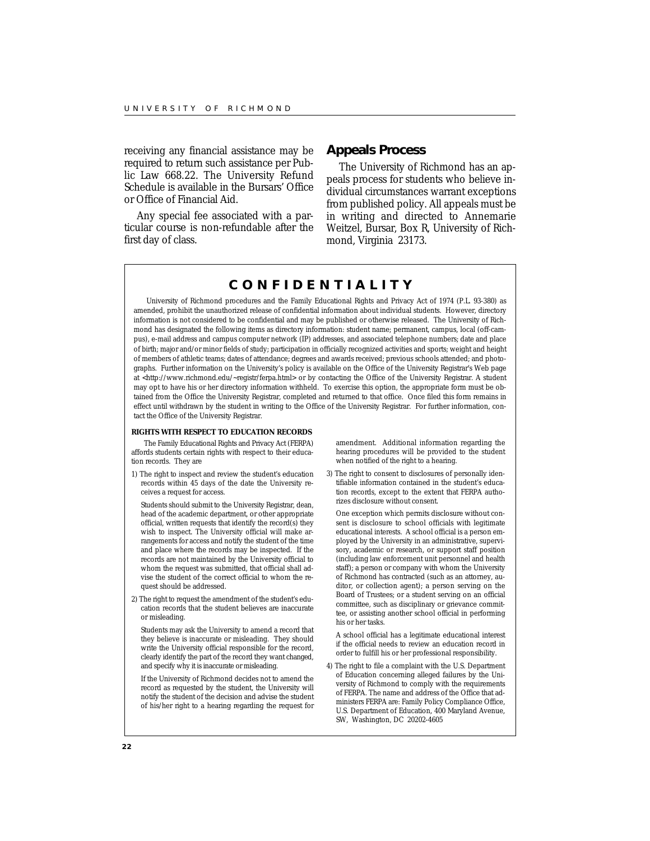receiving any financial assistance may be required to return such assistance per Public Law 668.22. The University Refund Schedule is available in the Bursars' Office or Office of Financial Aid.

Any special fee associated with a particular course is non-refundable after the first day of class.

### **Appeals Process**

The University of Richmond has an appeals process for students who believe individual circumstances warrant exceptions from published policy. All appeals must be in writing and directed to Annemarie Weitzel, Bursar, Box R, University of Richmond, Virginia 23173.

## **CONFIDENTIALITY**

University of Richmond procedures and the Family Educational Rights and Privacy Act of 1974 (P.L. 93-380) as amended, prohibit the unauthorized release of confidential information about individual students. However, directory information is not considered to be confidential and may be published or otherwise released. The University of Richmond has designated the following items as directory information: student name; permanent, campus, local (off-campus), e-mail address and campus computer network (IP) addresses, and associated telephone numbers; date and place of birth; major and/or minor fields of study; participation in officially recognized activities and sports; weight and height of members of athletic teams; dates of attendance; degrees and awards received; previous schools attended; and photographs. Further information on the University's policy is available on the Office of the University Registrar's Web page at <http://www.richmond.edu/~registr/ferpa.html> or by contacting the Office of the University Registrar. A student may opt to have his or her directory information withheld. To exercise this option, the appropriate form must be obtained from the Office the University Registrar, completed and returned to that office. Once filed this form remains in effect until withdrawn by the student in writing to the Office of the University Registrar. For further information, contact the Office of the University Registrar.

#### **RIGHTS WITH RESPECT TO EDUCATION RECORDS**

The Family Educational Rights and Privacy Act (FERPA) affords students certain rights with respect to their education records. They are

1) The right to inspect and review the student's education records within 45 days of the date the University receives a request for access.

Students should submit to the University Registrar, dean, head of the academic department, or other appropriate official, written requests that identify the record(s) they wish to inspect. The University official will make arrangements for access and notify the student of the time and place where the records may be inspected. If the records are not maintained by the University official to whom the request was submitted, that official shall advise the student of the correct official to whom the request should be addressed.

2) The right to request the amendment of the student's education records that the student believes are inaccurate or misleading.

Students may ask the University to amend a record that they believe is inaccurate or misleading. They should write the University official responsible for the record, clearly identify the part of the record they want changed, and specify why it is inaccurate or misleading.

If the University of Richmond decides not to amend the record as requested by the student, the University will notify the student of the decision and advise the student of his/her right to a hearing regarding the request for

amendment. Additional information regarding the hearing procedures will be provided to the student when notified of the right to a hearing.

3) The right to consent to disclosures of personally identifiable information contained in the student's education records, except to the extent that FERPA authorizes disclosure without consent.

One exception which permits disclosure without consent is disclosure to school officials with legitimate educational interests. A school official is a person employed by the University in an administrative, supervisory, academic or research, or support staff position (including law enforcement unit personnel and health staff); a person or company with whom the University of Richmond has contracted (such as an attorney, auditor, or collection agent); a person serving on the Board of Trustees; or a student serving on an official committee, such as disciplinary or grievance committee, or assisting another school official in performing his or her tasks.

A school official has a legitimate educational interest if the official needs to review an education record in order to fulfill his or her professional responsibility.

4) The right to file a complaint with the U.S. Department of Education concerning alleged failures by the University of Richmond to comply with the requirements of FERPA. The name and address of the Office that administers FERPA are: Family Policy Compliance Office, U.S. Department of Education, 400 Maryland Avenue, SW, Washington, DC 20202-4605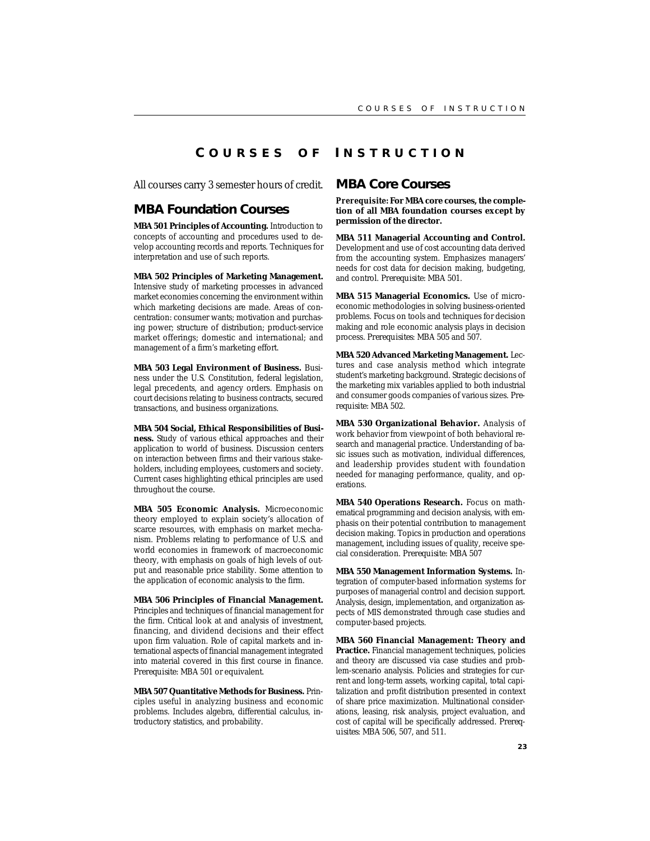### **C OURSES O F I NSTRUCTION**

All courses carry 3 semester hours of credit.

### **MBA Foundation Courses**

**MBA 501 Principles of Accounting.** Introduction to concepts of accounting and procedures used to develop accounting records and reports. Techniques for interpretation and use of such reports.

**MBA 502 Principles of Marketing Management.** Intensive study of marketing processes in advanced market economies concerning the environment within which marketing decisions are made. Areas of concentration: consumer wants; motivation and purchasing power; structure of distribution; product-service market offerings; domestic and international; and management of a firm's marketing effort.

**MBA 503 Legal Environment of Business.** Business under the U.S. Constitution, federal legislation, legal precedents, and agency orders. Emphasis on court decisions relating to business contracts, secured transactions, and business organizations.

**MBA 504 Social, Ethical Responsibilities of Business.** Study of various ethical approaches and their application to world of business. Discussion centers on interaction between firms and their various stakeholders, including employees, customers and society. Current cases highlighting ethical principles are used throughout the course.

**MBA 505 Economic Analysis.** Microeconomic theory employed to explain society's allocation of scarce resources, with emphasis on market mechanism. Problems relating to performance of U.S. and world economies in framework of macroeconomic theory, with emphasis on goals of high levels of output and reasonable price stability. Some attention to the application of economic analysis to the firm.

**MBA 506 Principles of Financial Management.** Principles and techniques of financial management for the firm. Critical look at and analysis of investment, financing, and dividend decisions and their effect upon firm valuation. Role of capital markets and international aspects of financial management integrated into material covered in this first course in finance. *Prerequisite:* MBA 501 or equivalent.

**MBA 507 Quantitative Methods for Business.** Principles useful in analyzing business and economic problems. Includes algebra, differential calculus, introductory statistics, and probability.

### **MBA Core Courses**

*Prerequisite:* **For MBA core courses, the completion of all MBA foundation courses except by permission of the director.**

**MBA 511 Managerial Accounting and Control.** Development and use of cost accounting data derived from the accounting system. Emphasizes managers' needs for cost data for decision making, budgeting, and control. *Prerequisite:* MBA 501.

**MBA 515 Managerial Economics.** Use of microeconomic methodologies in solving business-oriented problems. Focus on tools and techniques for decision making and role economic analysis plays in decision process. *Prerequisites:* MBA 505 and 507.

**MBA 520 Advanced Marketing Management.** Lectures and case analysis method which integrate student's marketing background. Strategic decisions of the marketing mix variables applied to both industrial and consumer goods companies of various sizes. *Prerequisite:* MBA 502.

**MBA 530 Organizational Behavior.** Analysis of work behavior from viewpoint of both behavioral research and managerial practice. Understanding of basic issues such as motivation, individual differences, and leadership provides student with foundation needed for managing performance, quality, and operations.

**MBA 540 Operations Research.** Focus on mathematical programming and decision analysis, with emphasis on their potential contribution to management decision making. Topics in production and operations management, including issues of quality, receive special consideration. *Prerequisite:* MBA 507

**MBA 550 Management Information Systems.** Integration of computer-based information systems for purposes of managerial control and decision support. Analysis, design, implementation, and organization aspects of MIS demonstrated through case studies and computer-based projects.

**MBA 560 Financial Management: Theory and Practice.** Financial management techniques, policies and theory are discussed via case studies and problem-scenario analysis. Policies and strategies for current and long-term assets, working capital, total capitalization and profit distribution presented in context of share price maximization. Multinational considerations, leasing, risk analysis, project evaluation, and cost of capital will be specifically addressed. *Prerequisites:* MBA 506, 507, and 511.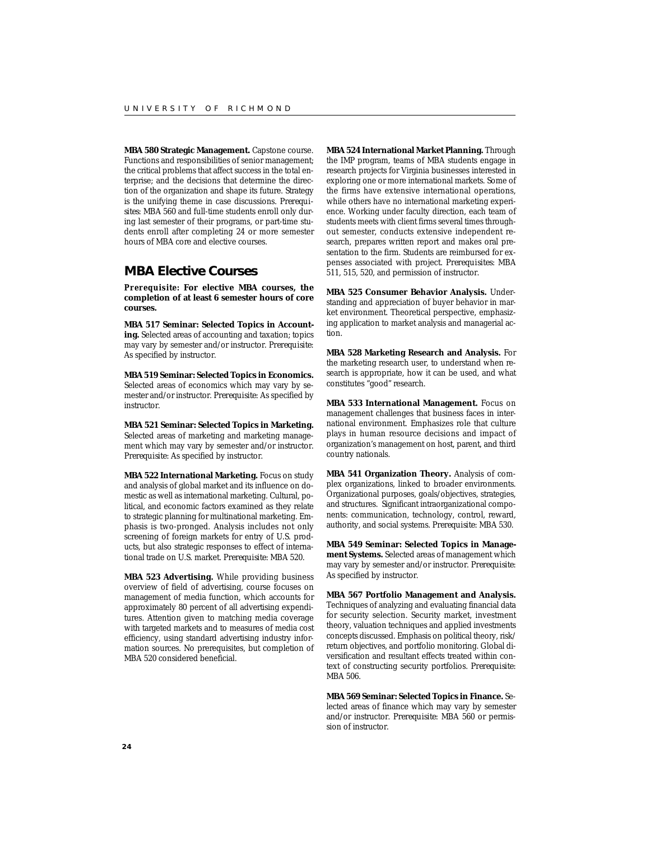**MBA 580 Strategic Management.** Capstone course. Functions and responsibilities of senior management; the critical problems that affect success in the total enterprise; and the decisions that determine the direction of the organization and shape its future. Strategy is the unifying theme in case discussions. *Prerequisites:* MBA 560 and full-time students enroll only during last semester of their programs, or part-time students enroll after completing 24 or more semester hours of MBA core and elective courses.

### **MBA Elective Courses**

*Prerequisite:* **For elective MBA courses, the completion of at least 6 semester hours of core courses.**

**MBA 517 Seminar: Selected Topics in Accounting.** Selected areas of accounting and taxation; topics may vary by semester and/or instructor. *Prerequisite:* As specified by instructor.

**MBA 519 Seminar: Selected Topics in Economics.** Selected areas of economics which may vary by semester and/or instructor. *Prerequisite:* As specified by instructor.

**MBA 521 Seminar: Selected Topics in Marketing.** Selected areas of marketing and marketing management which may vary by semester and/or instructor. *Prerequisite:* As specified by instructor.

**MBA 522 International Marketing.** Focus on study and analysis of global market and its influence on domestic as well as international marketing. Cultural, political, and economic factors examined as they relate to strategic planning for multinational marketing. Emphasis is two-pronged. Analysis includes not only screening of foreign markets for entry of U.S. products, but also strategic responses to effect of international trade on U.S. market. *Prerequisite:* MBA 520.

**MBA 523 Advertising.** While providing business overview of field of advertising, course focuses on management of media function, which accounts for approximately 80 percent of all advertising expenditures. Attention given to matching media coverage with targeted markets and to measures of media cost efficiency, using standard advertising industry information sources. No prerequisites, but completion of MBA 520 considered beneficial.

**MBA 524 International Market Planning.** Through the IMP program, teams of MBA students engage in research projects for Virginia businesses interested in exploring one or more international markets. Some of the firms have extensive international operations, while others have no international marketing experience. Working under faculty direction, each team of students meets with client firms several times throughout semester, conducts extensive independent research, prepares written report and makes oral presentation to the firm. Students are reimbursed for expenses associated with project. *Prerequisites:* MBA 511, 515, 520, and permission of instructor.

**MBA 525 Consumer Behavior Analysis.** Understanding and appreciation of buyer behavior in market environment. Theoretical perspective, emphasizing application to market analysis and managerial action.

**MBA 528 Marketing Research and Analysis.** For the marketing research user, to understand when research is appropriate, how it can be used, and what constitutes "good" research.

**MBA 533 International Management.** Focus on management challenges that business faces in international environment. Emphasizes role that culture plays in human resource decisions and impact of organization's management on host, parent, and third country nationals.

**MBA 541 Organization Theory.** Analysis of complex organizations, linked to broader environments. Organizational purposes, goals/objectives, strategies, and structures. Significant intraorganizational components: communication, technology, control, reward, authority, and social systems. *Prerequisite:* MBA 530.

**MBA 549 Seminar: Selected Topics in Management Systems.** Selected areas of management which may vary by semester and/or instructor. *Prerequisite:* As specified by instructor.

**MBA 567 Portfolio Management and Analysis.** Techniques of analyzing and evaluating financial data for security selection. Security market, investment theory, valuation techniques and applied investments concepts discussed. Emphasis on political theory, risk/ return objectives, and portfolio monitoring. Global diversification and resultant effects treated within context of constructing security portfolios. *Prerequisite:* MBA 506.

**MBA 569 Seminar: Selected Topics in Finance.** Selected areas of finance which may vary by semester and/or instructor. *Prerequisite:* MBA 560 or permission of instructor.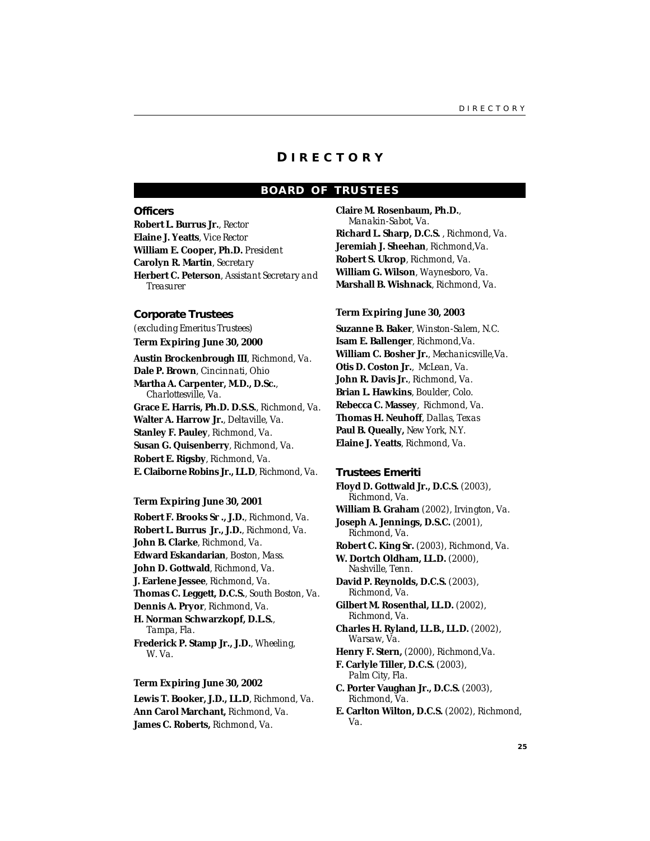### **D IRECTORY**

### **BOARD OF TRUSTEES**

#### **Officers**

**Robert L. Burrus Jr.**, *Rector* **Elaine J. Yeatts**, *Vice Rector* **William E. Cooper, Ph.D.** *President* **Carolyn R. Martin**, *Secretary* **Herbert C. Peterson**, *Assistant Secretary and Treasurer*

### **Corporate Trustees**

*(excluding Emeritus Trustees)*

**Term Expiring June 30, 2000**

**Austin Brockenbrough III**, *Richmond, Va.* **Dale P. Brown**, *Cincinnati, Ohio* **Martha A. Carpenter, M.D., D.Sc.**, *Charlottesville, Va.* **Grace E. Harris, Ph.D. D.S.S.***, Richmond, Va.* **Walter A. Harrow Jr.**, *Deltaville, Va.* **Stanley F. Pauley**, *Richmond, Va.* **Susan G. Quisenberry**, *Richmond, Va.* **Robert E. Rigsby**, *Richmond, Va.* **E. Claiborne Robins Jr., LL.D**, *Richmond, Va.*

#### **Term Expiring June 30, 2001**

**Robert F. Brooks Sr ., J.D.**, *Richmond, Va.* **Robert L. Burrus Jr., J.D.**, *Richmond, Va.* **John B. Clarke**, *Richmond, Va.* **Edward Eskandarian**, *Boston, Mass.* **John D. Gottwald**, *Richmond, Va.* **J. Earlene Jessee**, *Richmond, Va.* **Thomas C. Leggett, D.C.S.**, *South Boston, Va.* **Dennis A. Pryor**, *Richmond, Va.* **H. Norman Schwarzkopf, D.L.S.**, *Tampa, Fla.* **Frederick P. Stamp Jr., J.D.**, *Wheeling, W. Va.*

#### **Term Expiring June 30, 2002**

**Lewis T. Booker, J.D., LL.D**, *Richmond, Va.* **Ann Carol Marchant,** *Richmond, Va.* **James C. Roberts,** *Richmond, Va.*

**Claire M. Rosenbaum, Ph.D.**, *Manakin-Sabot, Va.* **Richard L. Sharp, D.C.S.** , *Richmond, Va.* **Jeremiah J. Sheehan**, *Richmond,Va.* **Robert S. Ukrop**, *Richmond, Va.* **William G. Wilson**, *Waynesboro, Va.* **Marshall B. Wishnack**, *Richmond, Va.*

### **Term Expiring June 30, 2003**

**Suzanne B. Baker**, *Winston-Salem, N.C.* **Isam E. Ballenger**, *Richmond,Va.* **William C. Bosher Jr.**, *Mechanicsville,Va.* **Otis D. Coston Jr.**, *McLean, Va.* **John R. Davis Jr.**, *Richmond, Va.* **Brian L. Hawkins**, *Boulder, Colo.* **Rebecca C. Massey**, *Richmond, Va.* **Thomas H. Neuhoff**, *Dallas, Texas* **Paul B. Queally,** *New York, N.Y.* **Elaine J. Yeatts**, *Richmond, Va.*

**Trustees Emeriti Floyd D. Gottwald Jr., D.C.S.** *(2003), Richmond, Va.* **William B. Graham** *(2002), Irvington, Va.* **Joseph A. Jennings, D.S.C.** (*2001*), *Richmond, Va.* **Robert C. King Sr.** *(2003), Richmond, Va.* **W. Dortch Oldham, LL.D.** *(2000), Nashville, Tenn.* **David P. Reynolds, D.C.S.** *(2003), Richmond, Va.* **Gilbert M. Rosenthal, LL.D.** *(2002), Richmond, Va.* **Charles H. Ryland, LL.B., LL.D.** *(2002), Warsaw, Va.* **Henry F. Stern,** *(2000), Richmond,Va.* **F. Carlyle Tiller, D.C.S.** *(2003), Palm City, Fla.* **C. Porter Vaughan Jr., D.C.S.** *(2003), Richmond, Va.* **E. Carlton Wilton, D.C.S.** *(2002), Richmond, Va.*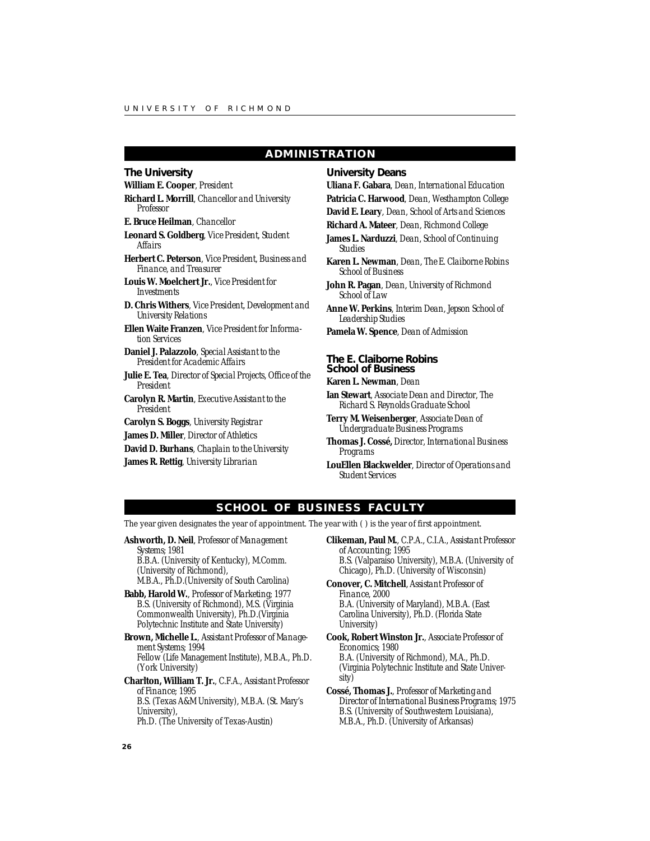### **ADMINISTRATION**

### **The University**

**William E. Cooper**, *President*

**Richard L. Morrill**, *Chancellor and University Professor*

**E. Bruce Heilman**, *Chancellor*

**Leonard S. Goldberg**, *Vice President, Student Affairs*

**Herbert C. Peterson**, *Vice President, Business and Finance, and Treasurer*

**Louis W. Moelchert Jr.**, *Vice President for Investments*

**D. Chris Withers**, *Vice President, Development and University Relations*

**Ellen Waite Franzen**, *Vice President for Information Services*

**Daniel J. Palazzolo**, *Special Assistant to the President for Academic Affairs*

**Julie E. Tea**, *Director of Special Projects, Office of the President*

- **Carolyn R. Martin**, *Executive Assistant to the President*
- **Carolyn S. Boggs**, *University Registrar*
- **James D. Miller**, *Director of Athletics*
- **David D. Burhans**, *Chaplain to the University*
- **James R. Rettig**, *University Librarian*

**University Deans**

**Uliana F. Gabara**, *Dean, International Education* **Patricia C. Harwood**, *Dean, Westhampton College*

- **David E. Leary**, *Dean, School of Arts and Sciences*
- **Richard A. Mateer**, *Dean, Richmond College*

**James L. Narduzzi**, *Dean, School of Continuing Studies*

**Karen L. Newman**, *Dean, The E. Claiborne Robins School of Business*

**John R. Pagan**, *Dean, University of Richmond School of Law*

**Anne W. Perkins**, *Interim Dean, Jepson School of Leadership Studies*

**Pamela W. Spence**, *Dean of Admission*

### **The E. Claiborne Robins School of Business**

**Karen L. Newman**, *Dean*

**Ian Stewart**, *Associate Dean and Director, The Richard S. Reynolds Graduate School*

**Terry M. Weisenberger**, *Associate Dean of Undergraduate Business Programs*

**Thomas J. Cossé,** *Director, International Business Programs*

**LouEllen Blackwelder**, *Director of Operations and Student Services*

### **SCHOOL OF BUSINESS FACULTY**

The year given designates the year of appointment. The year with ( ) is the year of *first* appointment.

**Ashworth, D. Neil**, *Professor of Management Systems;* 1981 B.B.A. (University of Kentucky), M.Comm.

(University of Richmond), M.B.A., Ph.D.(University of South Carolina)

- **Babb, Harold W.**, *Professor of Marketing;* 1977 B.S. (University of Richmond), M.S. (Virginia Commonwealth University), Ph.D.(Virginia Polytechnic Institute and State University)
- **Brown, Michelle L.**, *Assistant Professor of Management Systems;* 1994 Fellow (Life Management Institute), M.B.A., Ph.D. (York University)
- **Charlton, William T. Jr.**, C.F.A., *Assistant Professor of Finance;* 1995 B.S. (Texas A&M University), M.B.A. (St. Mary's University), Ph.D. (The University of Texas-Austin)
- **Clikeman, Paul M.**, C.P.A., C.I.A.*, Assistant Professor of Accounting;* 1995 B.S. (Valparaiso University), M.B.A. (University of Chicago), Ph.D. (University of Wisconsin)
- **Conover, C. Mitchell**, *Assistant Professor of Finance,* 2000 B.A. (University of Maryland), M.B.A. (East Carolina University), Ph.D. (Florida State University)
- **Cook, Robert Winston Jr.**, *Associate Professor of Economics;* 1980 B.A. (University of Richmond), M.A., Ph.D.

(Virginia Polytechnic Institute and State University)

**Cossé, Thomas J.**, *Professor of Marketing and Director of International Business Programs;* 1975 B.S. (University of Southwestern Louisiana), M.B.A., Ph.D. (University of Arkansas)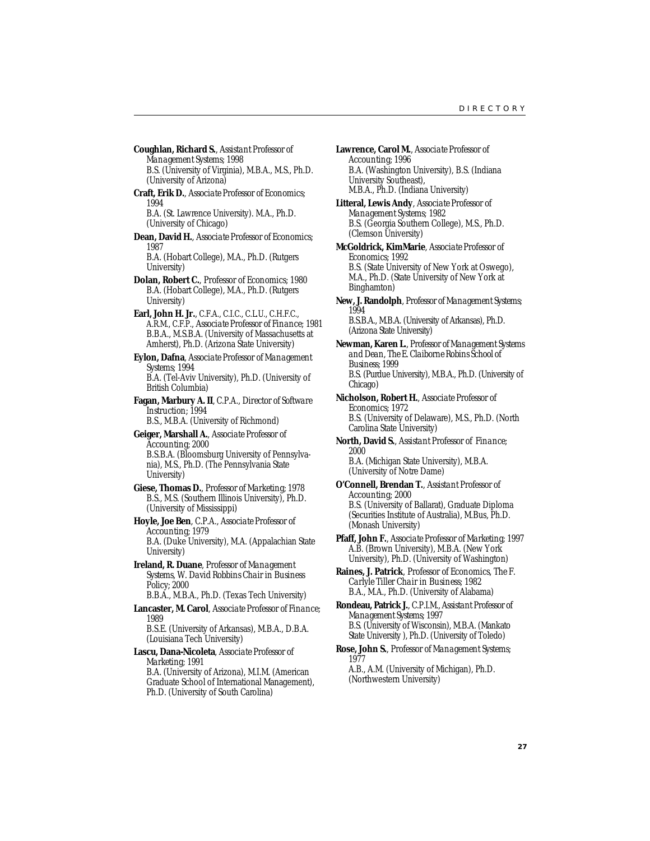- **Coughlan, Richard S.**, *Assistant Professor of Management Systems;* 1998 B.S. (University of Virginia), M.B.A., M.S., Ph.D. (University of Arizona)
- **Craft, Erik D.**, *Associate Professor of Economics;* 1994

B.A. (St. Lawrence University). M.A., Ph.D. (University of Chicago)

**Dean, David H.**, *Associate Professor of Economics;* 1987

B.A. (Hobart College), M.A., Ph.D. (Rutgers University)

- **Dolan, Robert C.**, *Professor of Economics;* 1980 B.A. (Hobart College), M.A., Ph.D. (Rutgers University)
- **Earl, John H. Jr.**, C.F.A., C.I.C., C.L.U., C.H.F.C., A.R.M., C.F.P., *Associate Professor of Finance;* 1981 B.B.A., M.S.B.A. (University of Massachusetts at Amherst), Ph.D. (Arizona State University)

**Eylon, Dafna**, *Associate Professor of Management Systems;* 1994 B.A. (Tel-Aviv University), Ph.D. (University of British Columbia)

**Fagan, Marbury A. II**, C.P.A., *Director of Software Instruction*; 1994

B.S., M.B.A. (University of Richmond) **Geiger, Marshall A.**, *Associate Professor of*

*Accounting;* 2000 B.S.B.A. (Bloomsburg University of Pennsylvania), M.S., Ph.D. (The Pennsylvania State University)

- **Giese, Thomas D.**, *Professor of Marketing;* 1978 B.S., M.S. (Southern Illinois University), Ph.D. (University of Mississippi)
- **Hoyle, Joe Ben**, C.P.A., *Associate Professor of Accounting;* 1979 B.A. (Duke University), M.A. (Appalachian State University)
- **Ireland, R. Duane**, *Professor of Management Systems, W. David Robbins Chair in Business Policy;* 2000 B.B.A., M.B.A., Ph.D. (Texas Tech University)

**Lancaster, M. Carol**, *Associate Professor of Finance;* 1989

B.S.E. (University of Arkansas), M.B.A., D.B.A. (Louisiana Tech University)

**Lascu, Dana-Nicoleta**, *Associate Professor of Marketing;* 1991

B.A. (University of Arizona), M.I.M. (American Graduate School of International Management), Ph.D. (University of South Carolina)

- **Lawrence, Carol M.**, *Associate Professor of Accounting;* 1996 B.A. (Washington University), B.S. (Indiana University Southeast), M.B.A., Ph.D. (Indiana University)
- **Litteral, Lewis Andy**, *Associate Professor of Management Systems;* 1982 B.S. (Georgia Southern College), M.S., Ph.D. (Clemson University)
- **McGoldrick, KimMarie**, *Associate Professor of Economics;* 1992 B.S. (State University of New York at Oswego), M.A., Ph.D. (State University of New York at Binghamton)
- **New, J. Randolph**, *Professor of Management Systems*; 1994 B.S.B.A., M.B.A. (University of Arkansas), Ph.D.

(Arizona State University)

- **Newman, Karen L.**, *Professor of Management Systems and Dean, The E. Claiborne Robins School of Business*; 1999 B.S. (Purdue University), M.B.A., Ph.D. (University of Chicago)
- **Nicholson, Robert H.**, *Associate Professor of Economics;* 1972 B.S. (University of Delaware), M.S., Ph.D. (North Carolina State University)
- **North, David S.**, *Assistant Professor of Finance;* 2000

B.A. (Michigan State University), M.B.A. (University of Notre Dame)

- **O'Connell, Brendan T.**, *Assistant Professor of Accounting;* 2000 B.S. (University of Ballarat), Graduate Diploma (Securities Institute of Australia), M.Bus, Ph.D. (Monash University)
- **Pfaff, John F.**, *Associate Professor of Marketing*; 1997 A.B. (Brown University), M.B.A. (New York University), Ph.D. (University of Washington)

**Raines, J. Patrick**, *Professor of Economics, The F. Carlyle Tiller Chair in Business;* 1982 B.A., M.A., Ph.D. (University of Alabama)

**Rondeau, Patrick J.**, C.P.I.M., *Assistant Professor of Management Systems;* 1997 B.S. (University of Wisconsin), M.B.A. (Mankato State University ), Ph.D. (University of Toledo)

**Rose, John S.**, *Professor of Management Systems;* 1977

A.B., A.M. (University of Michigan), Ph.D. (Northwestern University)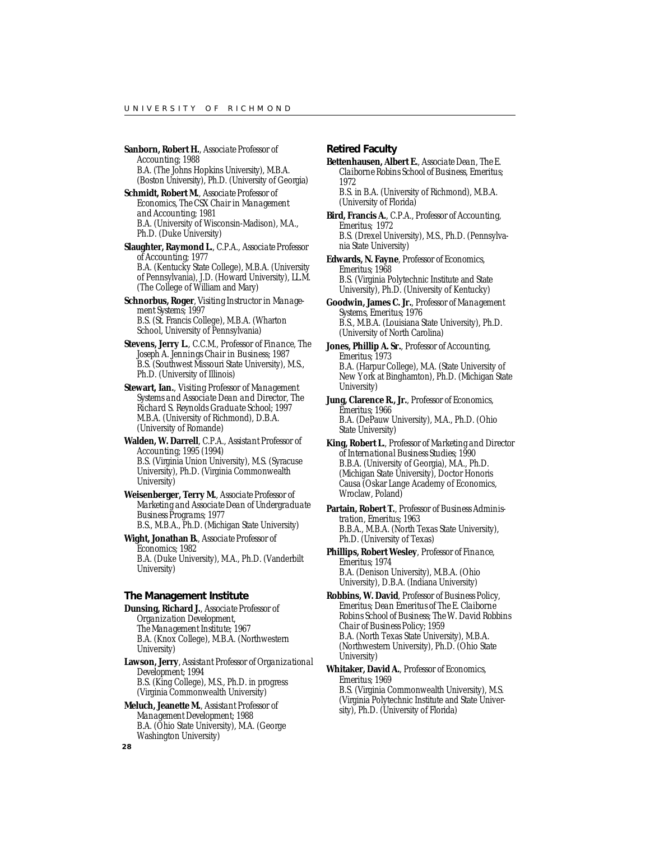- **Sanborn, Robert H.**, *Associate Professor of Accounting;* 1988 B.A. (The Johns Hopkins University), M.B.A. (Boston University), Ph.D. (University of Georgia)
- **Schmidt, Robert M.**, *Associate Professor of Economics, The CSX Chair in Management and Accounting;* 1981 B.A. (University of Wisconsin-Madison), M.A., Ph.D. (Duke University)
- **Slaughter, Raymond L.**, C.P.A., *Associate Professor of Accounting;* 1977 B.A. (Kentucky State College), M.B.A. (University of Pennsylvania), J.D. (Howard University), LL.M. (The College of William and Mary)
- **Schnorbus, Roger**, *Visiting Instructor in Management Systems;* 1997 B.S. (St. Francis College), M.B.A. (Wharton School, University of Pennsylvania)
- **Stevens, Jerry L.**, C.C.M., *Professor of Finance, The Joseph A. Jennings Chair in Business;* 1987 B.S. (Southwest Missouri State University), M.S., Ph.D. (University of Illinois)
- **Stewart, Ian.**, *Visiting Professor of Management Systems and Associate Dean and Director, The Richard S. Reynolds Graduate School;* 1997 M.B.A. (University of Richmond), D.B.A. (University of Romande)
- **Walden, W. Darrell**, C.P.A., *Assistant Professor of Accounting*; 1995 (1994) B.S. (Virginia Union University), M.S. (Syracuse University), Ph.D. (Virginia Commonwealth University)
- **Weisenberger, Terry M.**, *Associate Professor of Marketing and Associate Dean of Undergraduate Business Programs;* 1977 B.S., M.B.A., Ph.D. (Michigan State University)
- **Wight, Jonathan B.**, *Associate Professor of Economics;* 1982 B.A. (Duke University), M.A., Ph.D. (Vanderbilt University)

#### **The Management Institute**

- **Dunsing, Richard J.**, *Associate Professor of Organization Development, The Management Institute;* 1967 B.A. (Knox College), M.B.A. (Northwestern University)
- **Lawson, Jerry**, *Assistant Professor of Organizational Development;* 1994 B.S. (King College), M.S., Ph.D. in progress (Virginia Commonwealth University)
- **Meluch, Jeanette M.**, *Assistant Professor of Management Development;* 1988 B.A. (Ohio State University), M.A. (George Washington University)

### **Retired Faculty**

**Bettenhausen, Albert E.**, *Associate Dean, The E. Claiborne Robins School of Business, Emeritus;* 1972

B.S. in B.A. (University of Richmond), M.B.A. (University of Florida)

- **Bird, Francis A.**, C.P.A., *Professor of Accounting, Emeritus;* 1972 B.S. (Drexel University), M.S., Ph.D. (Pennsylvania State University)
- **Edwards, N. Fayne**, *Professor of Economics, Emeritus;* 1968 B.S. (Virginia Polytechnic Institute and State University), Ph.D. (University of Kentucky)
- **Goodwin, James C. Jr.**, *Professor of Management Systems, Emeritus;* 1976 B.S., M.B.A. (Louisiana State University), Ph.D. (University of North Carolina)
- **Jones, Phillip A. Sr.**, *Professor of Accounting, Emeritus;* 1973 B.A. (Harpur College), M.A. (State University of New York at Binghamton), Ph.D. (Michigan State University)
- **Jung, Clarence R., Jr.**, *Professor of Economics, Emeritus;* 1966 B.A. (DePauw University), M.A., Ph.D. (Ohio State University)
- **King, Robert L.**, *Professor of Marketing and Director of International Business Studies;* 1990 B.B.A. (University of Georgia), M.A., Ph.D. (Michigan State University), Doctor Honoris Causa (Oskar Lange Academy of Economics, Wroclaw, Poland)
- **Partain, Robert T.**, *Professor of Business Administration, Emeritus;* 1963 B.B.A., M.B.A. (North Texas State University), Ph.D. (University of Texas)
- **Phillips, Robert Wesley**, *Professor of Finance, Emeritus;* 1974 B.A. (Denison University), M.B.A. (Ohio University), D.B.A. (Indiana University)
- **Robbins, W. David**, *Professor of Business Policy, Emeritus; Dean Emeritus of The E. Claiborne Robins School of Business; The W. David Robbins Chair of Business Policy;* 1959 B.A. (North Texas State University), M.B.A. (Northwestern University), Ph.D. (Ohio State University)
- **Whitaker, David A.**, *Professor of Economics, Emeritus;* 1969 B.S. (Virginia Commonwealth University), M.S. (Virginia Polytechnic Institute and State University), Ph.D. (University of Florida)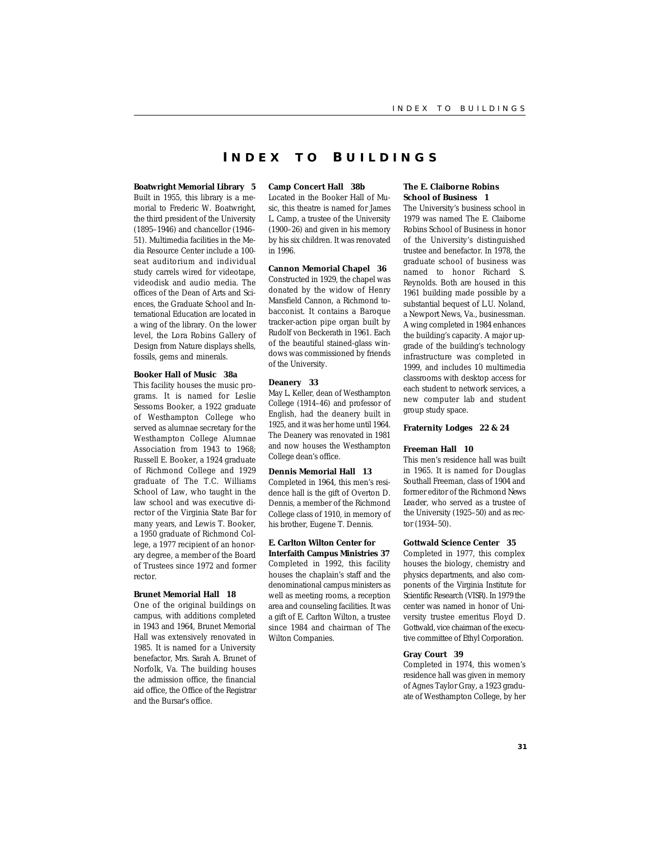### **I NDEX T O B UILDINGS**

#### **Boatwright Memorial Library 5**

Built in 1955, this library is a memorial to Frederic W. Boatwright, the third president of the University (1895–1946) and chancellor (1946– 51). Multimedia facilities in the Media Resource Center include a 100 seat auditorium and individual study carrels wired for videotape, videodisk and audio media. The offices of the Dean of Arts and Sciences, the Graduate School and International Education are located in a wing of the library. On the lower level, the Lora Robins Gallery of Design from Nature displays shells, fossils, gems and minerals.

#### **Booker Hall of Music 38a**

This facility houses the music programs. It is named for Leslie Sessoms Booker, a 1922 graduate of Westhampton College who served as alumnae secretary for the Westhampton College Alumnae Association from 1943 to 1968; Russell E. Booker, a 1924 graduate of Richmond College and 1929 graduate of The T.C. Williams School of Law, who taught in the law school and was executive director of the Virginia State Bar for many years, and Lewis T. Booker, a 1950 graduate of Richmond College, a 1977 recipient of an honorary degree, a member of the Board of Trustees since 1972 and former rector.

### **Brunet Memorial Hall 18**

One of the original buildings on campus, with additions completed in 1943 and 1964, Brunet Memorial Hall was extensively renovated in 1985. It is named for a University benefactor, Mrs. Sarah A. Brunet of Norfolk, Va. The building houses the admission office, the financial aid office, the Office of the Registrar and the Bursar's office.

#### **Camp Concert Hall 38b**

Located in the Booker Hall of Music, this theatre is named for James L. Camp, a trustee of the University (1900–26) and given in his memory by his six children. It was renovated in 1996.

#### **Cannon Memorial Chapel 36**

Constructed in 1929, the chapel was donated by the widow of Henry Mansfield Cannon, a Richmond tobacconist. It contains a Baroque tracker-action pipe organ built by Rudolf von Beckerath in 1961. Each of the beautiful stained-glass windows was commissioned by friends of the University.

#### **Deanery 33**

May L. Keller, dean of Westhampton College (1914–46) and professor of English, had the deanery built in 1925, and it was her home until 1964. The Deanery was renovated in 1981 and now houses the Westhampton College dean's office.

#### **Dennis Memorial Hall 13**

Completed in 1964, this men's residence hall is the gift of Overton D. Dennis, a member of the Richmond College class of 1910, in memory of his brother, Eugene T. Dennis.

### **E. Carlton Wilton Center for**

**Interfaith Campus Ministries 37** Completed in 1992, this facility houses the chaplain's staff and the denominational campus ministers as well as meeting rooms, a reception area and counseling facilities. It was a gift of E. Carlton Wilton, a trustee since 1984 and chairman of The Wilton Companies.

#### **The E. Claiborne Robins School of Business 1**

The University's business school in 1979 was named The E. Claiborne Robins School of Business in honor of the University's distinguished trustee and benefactor. In 1978, the graduate school of business was named to honor Richard S. Reynolds. Both are housed in this 1961 building made possible by a substantial bequest of L.U. Noland, a Newport News, Va., businessman. A wing completed in 1984 enhances the building's capacity. A major upgrade of the building's technology infrastructure was completed in 1999, and includes 10 multimedia classrooms with desktop access for each student to network services, a new computer lab and student group study space.

#### **Fraternity Lodges 22 & 24**

#### **Freeman Hall 10**

This men's residence hall was built in 1965. It is named for Douglas Southall Freeman, class of 1904 and former editor of the *Richmond News Leader*, who served as a trustee of the University (1925–50) and as rector (1934–50).

#### **Gottwald Science Center 35**

Completed in 1977, this complex houses the biology, chemistry and physics departments, and also components of the Virginia Institute for Scientific Research (VISR). In 1979 the center was named in honor of University trustee emeritus Floyd D. Gottwald, vice chairman of the executive committee of Ethyl Corporation.

#### **Gray Court 39**

Completed in 1974, this women's residence hall was given in memory of Agnes Taylor Gray, a 1923 graduate of Westhampton College, by her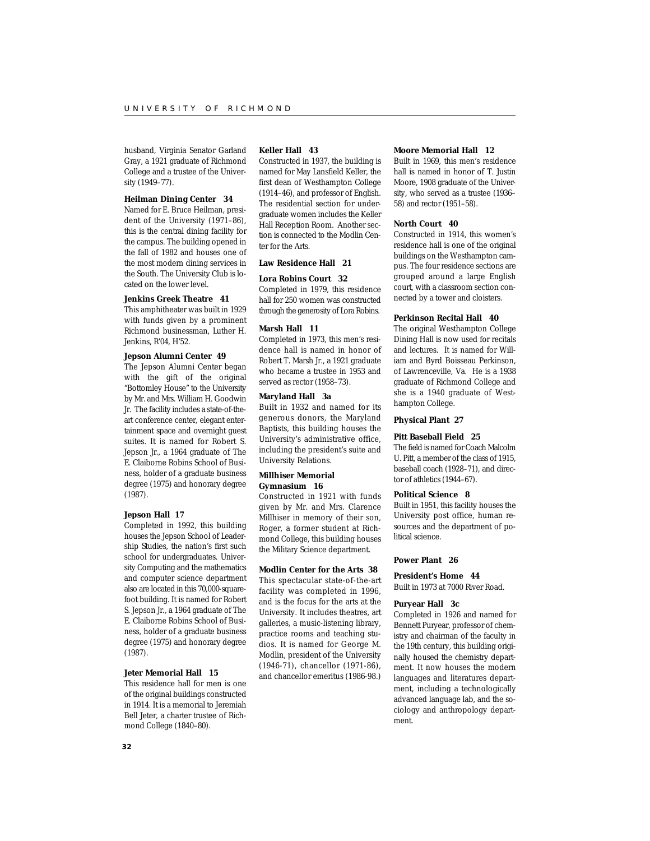husband, Virginia Senator Garland Gray, a 1921 graduate of Richmond College and a trustee of the University (1949–77).

### **Heilman Dining Center 34**

Named for E. Bruce Heilman, president of the University (1971–86), this is the central dining facility for the campus. The building opened in the fall of 1982 and houses one of the most modern dining services in the South. The University Club is located on the lower level.

#### **Jenkins Greek Theatre 41**

This amphitheater was built in 1929 with funds given by a prominent Richmond businessman, Luther H. Jenkins, R'04, H'52.

### **Jepson Alumni Center 49**

The Jepson Alumni Center began with the gift of the original "Bottomley House" to the University by Mr. and Mrs. William H. Goodwin Jr. The facility includes a state-of-theart conference center, elegant entertainment space and overnight guest suites. It is named for Robert S. Jepson Jr., a 1964 graduate of The E. Claiborne Robins School of Business, holder of a graduate business degree (1975) and honorary degree (1987).

#### **Jepson Hall 17**

Completed in 1992, this building houses the Jepson School of Leadership Studies, the nation's first such school for undergraduates. University Computing and the mathematics and computer science department also are located in this 70,000-squarefoot building. It is named for Robert S. Jepson Jr., a 1964 graduate of The E. Claiborne Robins School of Business, holder of a graduate business degree (1975) and honorary degree (1987).

#### **Jeter Memorial Hall 15**

This residence hall for men is one of the original buildings constructed in 1914. It is a memorial to Jeremiah Bell Jeter, a charter trustee of Richmond College (1840–80).

#### **Keller Hall 43**

Constructed in 1937, the building is named for May Lansfield Keller, the first dean of Westhampton College (1914–46), and professor of English. The residential section for undergraduate women includes the Keller Hall Reception Room. Another section is connected to the Modlin Center for the Arts.

#### **Law Residence Hall 21**

#### **Lora Robins Court 32**

Completed in 1979, this residence hall for 250 women was constructed through the generosity of Lora Robins.

#### **Marsh Hall 11**

Completed in 1973, this men's residence hall is named in honor of Robert T. Marsh Jr., a 1921 graduate who became a trustee in 1953 and served as rector (1958–73).

#### **Maryland Hall 3a**

Built in 1932 and named for its generous donors, the Maryland Baptists, this building houses the University's administrative office, including the president's suite and University Relations.

#### **Millhiser Memorial Gymnasium 16**

Constructed in 1921 with funds given by Mr. and Mrs. Clarence Millhiser in memory of their son, Roger, a former student at Richmond College, this building houses the Military Science department.

#### **Modlin Center for the Arts 38**

This spectacular state-of-the-art facility was completed in 1996, and is the focus for the arts at the University. It includes theatres, art galleries, a music-listening library, practice rooms and teaching studios. It is named for George M. Modlin, president of the University (1946-71), chancellor (1971-86), and chancellor emeritus (1986-98.)

#### **Moore Memorial Hall 12**

Built in 1969, this men's residence hall is named in honor of T. Justin Moore, 1908 graduate of the University, who served as a trustee (1936– 58) and rector (1951–58).

#### **North Court 40**

Constructed in 1914, this women's residence hall is one of the original buildings on the Westhampton campus. The four residence sections are grouped around a large English court, with a classroom section connected by a tower and cloisters.

#### **Perkinson Recital Hall 40**

The original Westhampton College Dining Hall is now used for recitals and lectures. It is named for William and Byrd Boisseau Perkinson, of Lawrenceville, Va. He is a 1938 graduate of Richmond College and she is a 1940 graduate of Westhampton College.

#### **Physical Plant 27**

#### **Pitt Baseball Field 25**

The field is named for Coach Malcolm U. Pitt, a member of the class of 1915, baseball coach (1928–71), and director of athletics (1944–67).

#### **Political Science 8**

Built in 1951, this facility houses the University post office, human resources and the department of political science.

#### **Power Plant 26**

**President's Home 44** Built in 1973 at 7000 River Road.

#### **Puryear Hall 3c**

Completed in 1926 and named for Bennett Puryear, professor of chemistry and chairman of the faculty in the 19th century, this building originally housed the chemistry department. It now houses the modern languages and literatures department, including a technologically advanced language lab, and the sociology and anthropology department.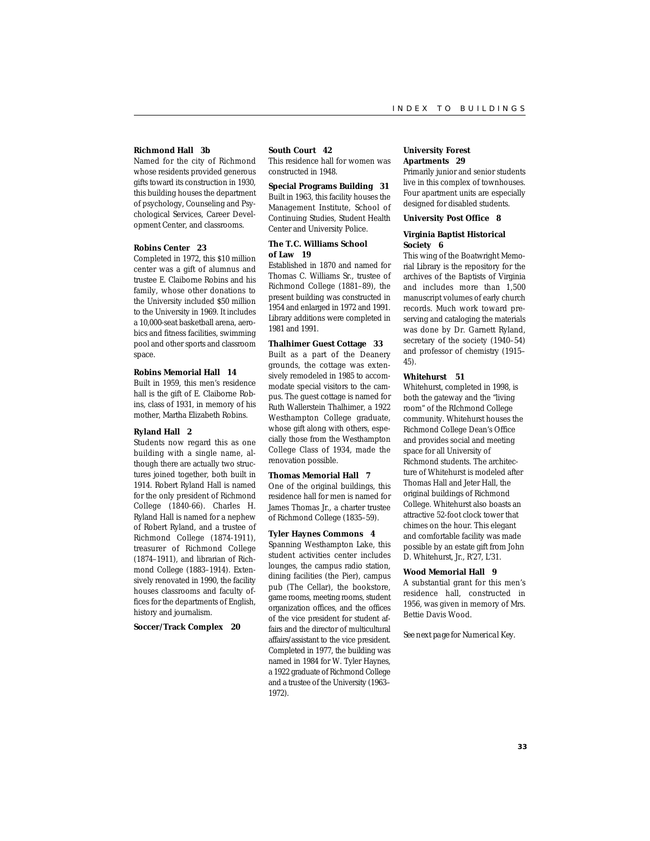### **Richmond Hall 3b**

Named for the city of Richmond whose residents provided generous gifts toward its construction in 1930, this building houses the department of psychology, Counseling and Psychological Services, Career Development Center, and classrooms.

#### **Robins Center 23**

Completed in 1972, this \$10 million center was a gift of alumnus and trustee E. Claiborne Robins and his family, whose other donations to the University included \$50 million to the University in 1969. It includes a 10,000-seat basketball arena, aerobics and fitness facilities, swimming pool and other sports and classroom space.

#### **Robins Memorial Hall 14**

Built in 1959, this men's residence hall is the gift of E. Claiborne Robins, class of 1931, in memory of his mother, Martha Elizabeth Robins.

#### **Ryland Hall 2**

Students now regard this as one building with a single name, although there are actually two structures joined together, both built in 1914. Robert Ryland Hall is named for the only president of Richmond College (1840-66). Charles H. Ryland Hall is named for a nephew of Robert Ryland, and a trustee of Richmond College (1874-1911), treasurer of Richmond College (1874–1911), and librarian of Richmond College (1883–1914). Extensively renovated in 1990, the facility houses classrooms and faculty offices for the departments of English, history and journalism.

**Soccer/Track Complex 20**

#### **South Court 42**

This residence hall for women was constructed in 1948.

**Special Programs Building 31** Built in 1963, this facility houses the Management Institute, School of Continuing Studies, Student Health Center and University Police.

#### **The T.C. Williams School of Law 19**

Established in 1870 and named for Thomas C. Williams Sr., trustee of Richmond College (1881–89), the present building was constructed in 1954 and enlarged in 1972 and 1991. Library additions were completed in 1981 and 1991.

#### **Thalhimer Guest Cottage 33**

Built as a part of the Deanery grounds, the cottage was extensively remodeled in 1985 to accommodate special visitors to the campus. The guest cottage is named for Ruth Wallerstein Thalhimer, a 1922 Westhampton College graduate, whose gift along with others, especially those from the Westhampton College Class of 1934, made the renovation possible.

#### **Thomas Memorial Hall 7**

One of the original buildings, this residence hall for men is named for James Thomas Jr., a charter trustee of Richmond College (1835–59).

#### **Tyler Haynes Commons 4**

Spanning Westhampton Lake, this student activities center includes lounges, the campus radio station, dining facilities (the Pier), campus pub (The Cellar), the bookstore, game rooms, meeting rooms, student organization offices, and the offices of the vice president for student affairs and the director of multicultural affairs/assistant to the vice president. Completed in 1977, the building was named in 1984 for W. Tyler Haynes, a 1922 graduate of Richmond College and a trustee of the University (1963– 1972).

#### **University Forest Apartments 29**

Primarily junior and senior students live in this complex of townhouses. Four apartment units are especially designed for disabled students.

#### **University Post Office 8**

#### **Virginia Baptist Historical Society 6**

This wing of the Boatwright Memorial Library is the repository for the archives of the Baptists of Virginia and includes more than 1,500 manuscript volumes of early church records. Much work toward preserving and cataloging the materials was done by Dr. Garnett Ryland, secretary of the society (1940–54) and professor of chemistry (1915– 45).

#### **Whitehurst 51**

Whitehurst, completed in 1998, is both the gateway and the "living room" of the RIchmond College community. Whitehurst houses the Richmond College Dean's Office and provides social and meeting space for all University of Richmond students. The architecture of Whitehurst is modeled after Thomas Hall and Jeter Hall, the original buildings of Richmond College. Whitehurst also boasts an attractive 52-foot clock tower that chimes on the hour. This elegant and comfortable facility was made possible by an estate gift from John D. Whitehurst, Jr., R'27, L'31.

#### **Wood Memorial Hall 9**

A substantial grant for this men's residence hall, constructed in 1956, was given in memory of Mrs. Bettie Davis Wood.

*See next page for Numerical Key.*